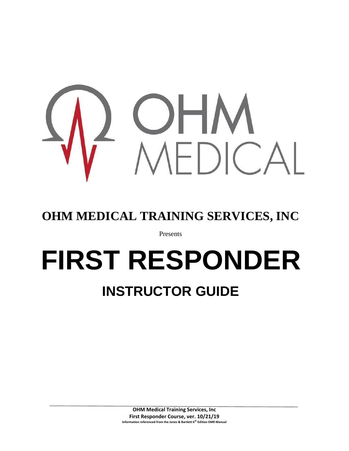

## **OHM MEDICAL TRAINING SERVICES, INC**

Presents

# **FIRST RESPONDER**

# **INSTRUCTOR GUIDE**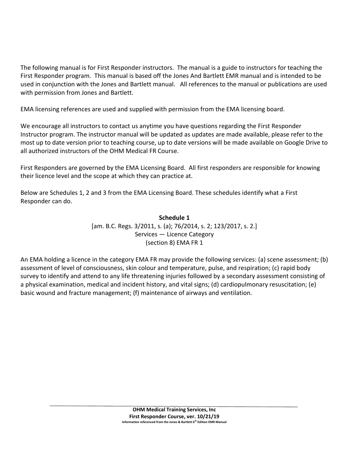The following manual is for First Responder instructors. The manual is a guide to instructors for teaching the First Responder program. This manual is based off the Jones And Bartlett EMR manual and is intended to be used in conjunction with the Jones and Bartlett manual. All references to the manual or publications are used with permission from Jones and Bartlett.

EMA licensing references are used and supplied with permission from the EMA licensing board.

We encourage all instructors to contact us anytime you have questions regarding the First Responder Instructor program. The instructor manual will be updated as updates are made available, please refer to the most up to date version prior to teaching course, up to date versions will be made available on Google Drive to all authorized instructors of the OHM Medical FR Course.

First Responders are governed by the EMA Licensing Board. All first responders are responsible for knowing their licence level and the scope at which they can practice at.

Below are Schedules 1, 2 and 3 from the EMA Licensing Board. These schedules identify what a First Responder can do.

> **Schedule 1** [am. B.C. Regs. 3/2011, s. (a); 76/2014, s. 2; 123/2017, s. 2.] Services — Licence Category (section 8) EMA FR 1

An EMA holding a licence in the category EMA FR may provide the following services: (a) scene assessment; (b) assessment of level of consciousness, skin colour and temperature, pulse, and respiration; (c) rapid body survey to identify and attend to any life threatening injuries followed by a secondary assessment consisting of a physical examination, medical and incident history, and vital signs; (d) cardiopulmonary resuscitation; (e) basic wound and fracture management; (f) maintenance of airways and ventilation.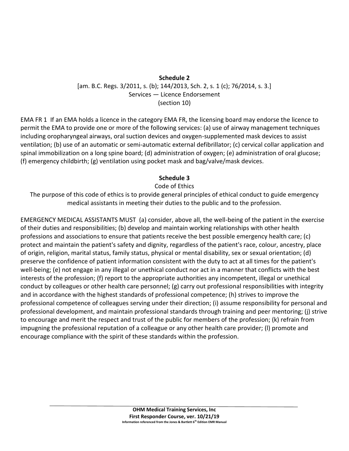## **Schedule 2** [am. B.C. Regs. 3/2011, s. (b); 144/2013, Sch. 2, s. 1 (c); 76/2014, s. 3.] Services — Licence Endorsement (section 10)

EMA FR 1 If an EMA holds a licence in the category EMA FR, the licensing board may endorse the licence to permit the EMA to provide one or more of the following services: (a) use of airway management techniques including oropharyngeal airways, oral suction devices and oxygen-supplemented mask devices to assist ventilation; (b) use of an automatic or semi-automatic external defibrillator; (c) cervical collar application and spinal immobilization on a long spine board; (d) administration of oxygen; (e) administration of oral glucose; (f) emergency childbirth; (g) ventilation using pocket mask and bag/valve/mask devices.

## **Schedule 3**

## Code of Ethics

The purpose of this code of ethics is to provide general principles of ethical conduct to guide emergency medical assistants in meeting their duties to the public and to the profession.

EMERGENCY MEDICAL ASSISTANTS MUST (a) consider, above all, the well-being of the patient in the exercise of their duties and responsibilities; (b) develop and maintain working relationships with other health professions and associations to ensure that patients receive the best possible emergency health care; (c) protect and maintain the patient's safety and dignity, regardless of the patient's race, colour, ancestry, place of origin, religion, marital status, family status, physical or mental disability, sex or sexual orientation; (d) preserve the confidence of patient information consistent with the duty to act at all times for the patient's well-being; (e) not engage in any illegal or unethical conduct nor act in a manner that conflicts with the best interests of the profession; (f) report to the appropriate authorities any incompetent, illegal or unethical conduct by colleagues or other health care personnel; (g) carry out professional responsibilities with integrity and in accordance with the highest standards of professional competence; (h) strives to improve the professional competence of colleagues serving under their direction; (i) assume responsibility for personal and professional development, and maintain professional standards through training and peer mentoring; (j) strive to encourage and merit the respect and trust of the public for members of the profession; (k) refrain from impugning the professional reputation of a colleague or any other health care provider; (l) promote and encourage compliance with the spirit of these standards within the profession.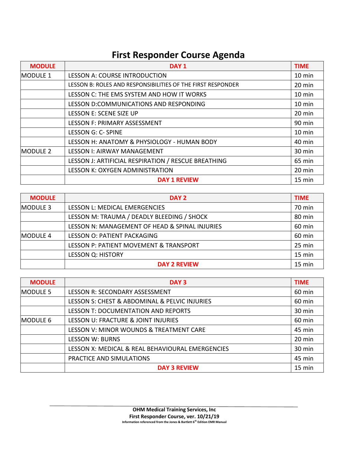## **First Responder Course Agenda**

| <b>MODULE</b>   | DAY <sub>1</sub>                                            | <b>TIME</b>      |
|-----------------|-------------------------------------------------------------|------------------|
| <b>MODULE 1</b> | <b>LESSON A: COURSE INTRODUCTION</b>                        | 10 min           |
|                 | LESSON B: ROLES AND RESPONSIBILITIES OF THE FIRST RESPONDER | 20 min           |
|                 | LESSON C: THE EMS SYSTEM AND HOW IT WORKS                   | $10 \text{ min}$ |
|                 | LESSON D:COMMUNICATIONS AND RESPONDING                      | 10 min           |
|                 | LESSON E: SCENE SIZE UP                                     | 20 min           |
|                 | LESSON F: PRIMARY ASSESSMENT                                | 90 min           |
|                 | LESSON G: C- SPINE                                          | $10 \text{ min}$ |
|                 | LESSON H: ANATOMY & PHYSIOLOGY - HUMAN BODY                 | 40 min           |
| <b>MODULE 2</b> | <b>LESSON I: AIRWAY MANAGEMENT</b>                          | 30 min           |
|                 | LESSON J: ARTIFICIAL RESPIRATION / RESCUE BREATHING         | 65 min           |
|                 | <b>LESSON K: OXYGEN ADMINISTRATION</b>                      | 20 min           |
|                 | <b>DAY 1 REVIEW</b>                                         | 15 min           |

| <b>MODULE</b>   | DAY <sub>2</sub>                               | <b>TIME</b> |
|-----------------|------------------------------------------------|-------------|
| <b>MODULE 3</b> | LESSON L: MEDICAL EMERGENCIES                  | 70 min      |
|                 | LESSON M: TRAUMA / DEADLY BLEEDING / SHOCK     | 80 min      |
|                 | LESSON N: MANAGEMENT OF HEAD & SPINAL INJURIES | 60 min      |
| <b>MODULE 4</b> | LESSON O: PATIENT PACKAGING                    | 60 min      |
|                 | LESSON P: PATIENT MOVEMENT & TRANSPORT         | 25 min      |
|                 | <b>LESSON Q: HISTORY</b>                       | 15 min      |
|                 | <b>DAY 2 REVIEW</b>                            | 15 min      |

| <b>MODULE</b>   | DAY <sub>3</sub>                                 | <b>TIME</b> |
|-----------------|--------------------------------------------------|-------------|
| <b>MODULE 5</b> | LESSON R: SECONDARY ASSESSMENT                   | 60 min      |
|                 | LESSON S: CHEST & ABDOMINAL & PELVIC INJURIES    | 60 min      |
|                 | <b>LESSON T: DOCUMENTATION AND REPORTS</b>       | 30 min      |
| <b>MODULE 6</b> | LESSON U: FRACTURE & JOINT INJURIES              | 60 min      |
|                 | LESSON V: MINOR WOUNDS & TREATMENT CARE          | 45 min      |
|                 | <b>LESSON W: BURNS</b>                           | $20$ min    |
|                 | LESSON X: MEDICAL & REAL BEHAVIOURAL EMERGENCIES | 30 min      |
|                 | PRACTICE AND SIMULATIONS                         | 45 min      |
|                 | <b>DAY 3 REVIEW</b>                              | 15 min      |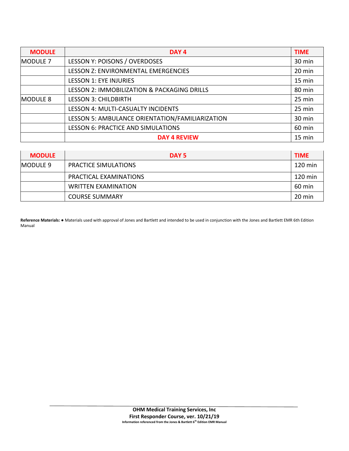| <b>MODULE</b>   | DAY <sub>4</sub>                                | <b>TIME</b> |
|-----------------|-------------------------------------------------|-------------|
| <b>MODULE 7</b> | LESSON Y: POISONS / OVERDOSES                   | 30 min      |
|                 | LESSON Z: ENVIRONMENTAL EMERGENCIES             | 20 min      |
|                 | <b>LESSON 1: EYE INJURIES</b>                   | 15 min      |
|                 | LESSON 2: IMMOBILIZATION & PACKAGING DRILLS     | 80 min      |
| <b>MODULE 8</b> | <b>LESSON 3: CHILDBIRTH</b>                     | 25 min      |
|                 | LESSON 4: MULTI-CASUALTY INCIDENTS              | 25 min      |
|                 | LESSON 5: AMBULANCE ORIENTATION/FAMILIARIZATION | 30 min      |
|                 | <b>LESSON 6: PRACTICE AND SIMULATIONS</b>       | 60 min      |
|                 | <b>DAY 4 REVIEW</b>                             | 15 min      |

| <b>MODULE</b>   | DAY <sub>5</sub>           | <b>TIME</b> |
|-----------------|----------------------------|-------------|
| <b>MODULE 9</b> | PRACTICE SIMULATIONS       | 120 min     |
|                 | PRACTICAL EXAMINATIONS     | 120 min     |
|                 | <b>WRITTEN EXAMINATION</b> | 60 min      |
|                 | <b>COURSE SUMMARY</b>      | 20 min      |

**Reference Materials:** ● Materials used with approval of Jones and Bartlett and intended to be used in conjunction with the Jones and Bartlett EMR 6th Edition Manual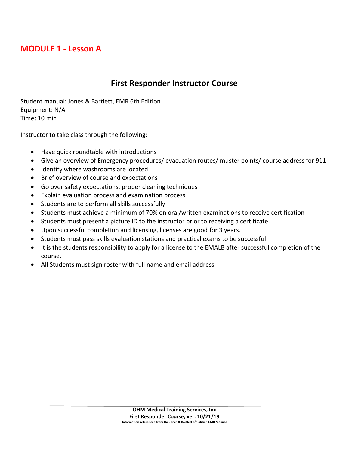## **MODULE 1 - Lesson A**

## **First Responder Instructor Course**

Student manual: Jones & Bartlett, EMR 6th Edition Equipment: N/A Time: 10 min

## Instructor to take class through the following:

- Have quick roundtable with introductions
- Give an overview of Emergency procedures/ evacuation routes/ muster points/ course address for 911
- Identify where washrooms are located
- Brief overview of course and expectations
- Go over safety expectations, proper cleaning techniques
- Explain evaluation process and examination process
- Students are to perform all skills successfully
- Students must achieve a minimum of 70% on oral/written examinations to receive certification
- Students must present a picture ID to the instructor prior to receiving a certificate.
- Upon successful completion and licensing, licenses are good for 3 years.
- Students must pass skills evaluation stations and practical exams to be successful
- It is the students responsibility to apply for a license to the EMALB after successful completion of the course.
- All Students must sign roster with full name and email address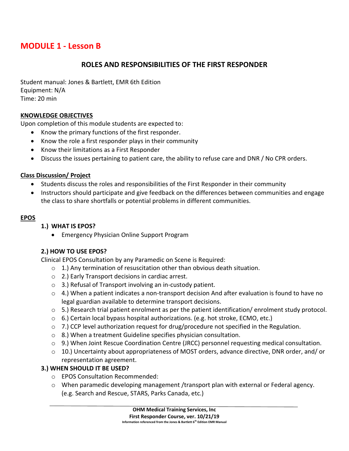## **MODULE 1 - Lesson B**

## **ROLES AND RESPONSIBILITIES OF THE FIRST RESPONDER**

Student manual: Jones & Bartlett, EMR 6th Edition Equipment: N/A Time: 20 min

## **KNOWLEDGE OBJECTIVES**

Upon completion of this module students are expected to:

- Know the primary functions of the first responder.
- Know the role a first responder plays in their community
- Know their limitations as a First Responder
- Discuss the issues pertaining to patient care, the ability to refuse care and DNR / No CPR orders.

## **Class Discussion/ Project**

- Students discuss the roles and responsibilities of the First Responder in their community
- Instructors should participate and give feedback on the differences between communities and engage the class to share shortfalls or potential problems in different communities.

## **EPOS**

## **1.) WHAT IS EPOS?**

• Emergency Physician Online Support Program

## **2.) HOW TO USE EPOS?**

Clinical EPOS Consultation by any Paramedic on Scene is Required:

- $\circ$  1.) Any termination of resuscitation other than obvious death situation.
- o 2.) Early Transport decisions in cardiac arrest.
- o 3.) Refusal of Transport involving an in-custody patient.
- $\circ$  4.) When a patient indicates a non-transport decision And after evaluation is found to have no legal guardian available to determine transport decisions.
- o 5.) Research trial patient enrolment as per the patient identification/ enrolment study protocol.
- $\circ$  6.) Certain local bypass hospital authorizations. (e.g. hot stroke, ECMO, etc.)
- $\circ$  7.) CCP level authorization request for drug/procedure not specified in the Regulation.
- o 8.) When a treatment Guideline specifies physician consultation.
- $\circ$  9.) When Joint Rescue Coordination Centre (JRCC) personnel requesting medical consultation.
- $\circ$  10.) Uncertainty about appropriateness of MOST orders, advance directive, DNR order, and/ or representation agreement.

## **3.) WHEN SHOULD IT BE USED?**

- o EPOS Consultation Recommended:
- o When paramedic developing management /transport plan with external or Federal agency. (e.g. Search and Rescue, STARS, Parks Canada, etc.)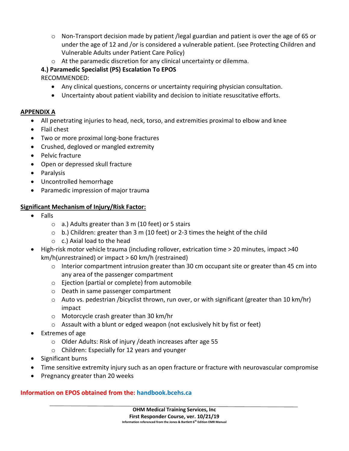- $\circ$  Non-Transport decision made by patient /legal guardian and patient is over the age of 65 or under the age of 12 and /or is considered a vulnerable patient. (see Protecting Children and Vulnerable Adults under Patient Care Policy)
- o At the paramedic discretion for any clinical uncertainty or dilemma.

## **4.) Paramedic Specialist (PS) Escalation To EPOS**

RECOMMENDED:

- Any clinical questions, concerns or uncertainty requiring physician consultation.
- Uncertainty about patient viability and decision to initiate resuscitative efforts.

## **APPENDIX A**

- All penetrating injuries to head, neck, torso, and extremities proximal to elbow and knee
- Flail chest
- Two or more proximal long-bone fractures
- Crushed, degloved or mangled extremity
- Pelvic fracture
- Open or depressed skull fracture
- Paralysis
- Uncontrolled hemorrhage
- Paramedic impression of major trauma

## **Significant Mechanism of Injury/Risk Factor:**

- Falls
	- $\circ$  a.) Adults greater than 3 m (10 feet) or 5 stairs
	- $\circ$  b.) Children: greater than 3 m (10 feet) or 2-3 times the height of the child
	- o c.) Axial load to the head
- High-risk motor vehicle trauma (including rollover, extrication time > 20 minutes, impact >40 km/h(unrestrained) or impact > 60 km/h (restrained)
	- $\circ$  Interior compartment intrusion greater than 30 cm occupant site or greater than 45 cm into any area of the passenger compartment
	- o Ejection (partial or complete) from automobile
	- o Death in same passenger compartment
	- $\circ$  Auto vs. pedestrian /bicyclist thrown, run over, or with significant (greater than 10 km/hr) impact
	- o Motorcycle crash greater than 30 km/hr
	- $\circ$  Assault with a blunt or edged weapon (not exclusively hit by fist or feet)
- Extremes of age
	- o Older Adults: Risk of injury /death increases after age 55
	- o Children: Especially for 12 years and younger
- Significant burns
- Time sensitive extremity injury such as an open fracture or fracture with neurovascular compromise
- Pregnancy greater than 20 weeks

## **Information on EPOS obtained from the: handbook.bcehs.ca**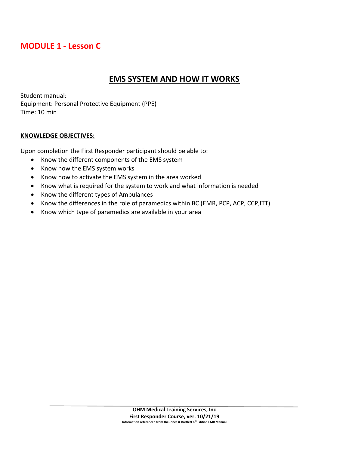## **MODULE 1 - Lesson C**

## **EMS SYSTEM AND HOW IT WORKS**

Student manual: Equipment: Personal Protective Equipment (PPE) Time: 10 min

## **KNOWLEDGE OBJECTIVES:**

Upon completion the First Responder participant should be able to:

- Know the different components of the EMS system
- Know how the EMS system works
- Know how to activate the EMS system in the area worked
- Know what is required for the system to work and what information is needed
- Know the different types of Ambulances
- Know the differences in the role of paramedics within BC (EMR, PCP, ACP, CCP,ITT)
- Know which type of paramedics are available in your area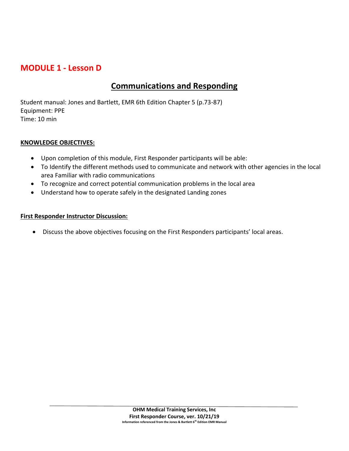## **MODULE 1 - Lesson D**

## **Communications and Responding**

Student manual: Jones and Bartlett, EMR 6th Edition Chapter 5 (p.73-87) Equipment: PPE Time: 10 min

## **KNOWLEDGE OBJECTIVES:**

- Upon completion of this module, First Responder participants will be able:
- To Identify the different methods used to communicate and network with other agencies in the local area Familiar with radio communications
- To recognize and correct potential communication problems in the local area
- Understand how to operate safely in the designated Landing zones

## **First Responder Instructor Discussion:**

• Discuss the above objectives focusing on the First Responders participants' local areas.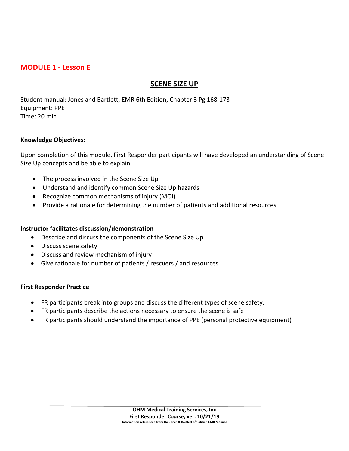## **MODULE 1 - Lesson E**

## **SCENE SIZE UP**

Student manual: Jones and Bartlett, EMR 6th Edition, Chapter 3 Pg 168-173 Equipment: PPE Time: 20 min

#### **Knowledge Objectives:**

Upon completion of this module, First Responder participants will have developed an understanding of Scene Size Up concepts and be able to explain:

- The process involved in the Scene Size Up
- Understand and identify common Scene Size Up hazards
- Recognize common mechanisms of injury (MOI)
- Provide a rationale for determining the number of patients and additional resources

#### **Instructor facilitates discussion/demonstration**

- Describe and discuss the components of the Scene Size Up
- Discuss scene safety
- Discuss and review mechanism of injury
- Give rationale for number of patients / rescuers / and resources

#### **First Responder Practice**

- FR participants break into groups and discuss the different types of scene safety.
- FR participants describe the actions necessary to ensure the scene is safe
- FR participants should understand the importance of PPE (personal protective equipment)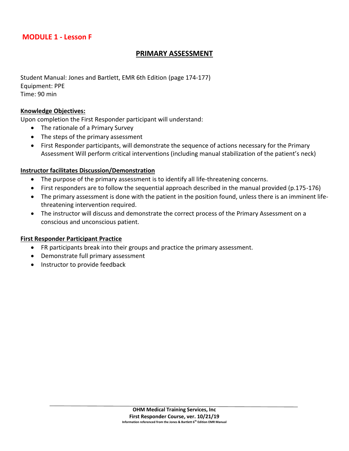## **MODULE 1 - Lesson F**

## **PRIMARY ASSESSMENT**

Student Manual: Jones and Bartlett, EMR 6th Edition (page 174-177) Equipment: PPE Time: 90 min

#### **Knowledge Objectives:**

Upon completion the First Responder participant will understand:

- The rationale of a Primary Survey
- The steps of the primary assessment
- First Responder participants, will demonstrate the sequence of actions necessary for the Primary Assessment Will perform critical interventions (including manual stabilization of the patient's neck)

#### **Instructor facilitates Discussion/Demonstration**

- The purpose of the primary assessment is to identify all life-threatening concerns.
- First responders are to follow the sequential approach described in the manual provided (p.175-176)
- The primary assessment is done with the patient in the position found, unless there is an imminent lifethreatening intervention required.
- The instructor will discuss and demonstrate the correct process of the Primary Assessment on a conscious and unconscious patient.

#### **First Responder Participant Practice**

- FR participants break into their groups and practice the primary assessment.
- Demonstrate full primary assessment
- Instructor to provide feedback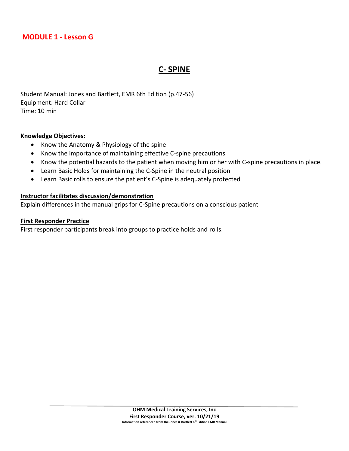## **MODULE 1 - Lesson G**

## **C- SPINE**

Student Manual: Jones and Bartlett, EMR 6th Edition (p.47-56) Equipment: Hard Collar Time: 10 min

#### **Knowledge Objectives:**

- Know the Anatomy & Physiology of the spine
- Know the importance of maintaining effective C-spine precautions
- Know the potential hazards to the patient when moving him or her with C-spine precautions in place.
- Learn Basic Holds for maintaining the C-Spine in the neutral position
- Learn Basic rolls to ensure the patient's C-Spine is adequately protected

#### **Instructor facilitates discussion/demonstration**

Explain differences in the manual grips for C-Spine precautions on a conscious patient

#### **First Responder Practice**

First responder participants break into groups to practice holds and rolls.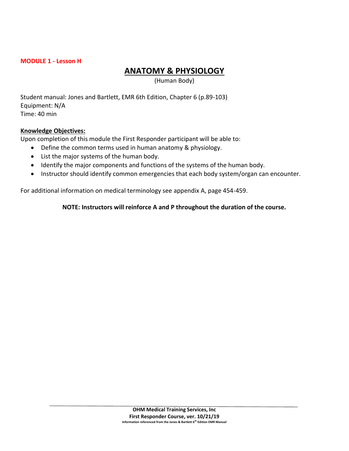## **MODULE 1 - Lesson H**

## **ANATOMY & PHYSIOLOGY**

(Human Body)

Student manual: Jones and Bartlett, EMR 6th Edition, Chapter 6 (p.89-103) Equipment: N/A Time: 40 min

## **Knowledge Objectives:**

Upon completion of this module the First Responder participant will be able to:

- Define the common terms used in human anatomy & physiology.
- List the major systems of the human body.
- Identify the major components and functions of the systems of the human body.
- Instructor should identify common emergencies that each body system/organ can encounter.

For additional information on medical terminology see appendix A, page 454-459.

## **NOTE: Instructors will reinforce A and P throughout the duration of the course.**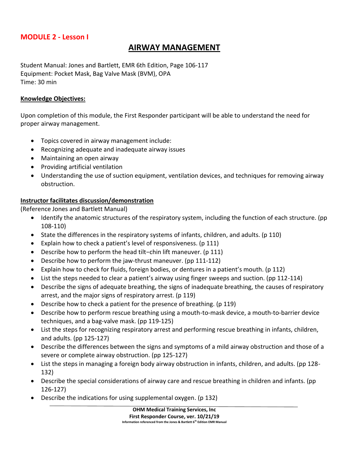## **MODULE 2 - Lesson I**

## **AIRWAY MANAGEMENT**

Student Manual: Jones and Bartlett, EMR 6th Edition, Page 106-117 Equipment: Pocket Mask, Bag Valve Mask (BVM), OPA Time: 30 min

#### **Knowledge Objectives:**

Upon completion of this module, the First Responder participant will be able to understand the need for proper airway management.

- Topics covered in airway management include:
- Recognizing adequate and inadequate airway issues
- Maintaining an open airway
- Providing artificial ventilation
- Understanding the use of suction equipment, ventilation devices, and techniques for removing airway obstruction.

## **Instructor facilitates discussion/demonstration**

(Reference Jones and Bartlett Manual)

- Identify the anatomic structures of the respiratory system, including the function of each structure. (pp 108-110)
- State the differences in the respiratory systems of infants, children, and adults. (p 110)
- Explain how to check a patient's level of responsiveness. (p 111)
- Describe how to perform the head tilt−chin lift maneuver. (p 111)
- Describe how to perform the jaw-thrust maneuver. (pp 111-112)
- Explain how to check for fluids, foreign bodies, or dentures in a patient's mouth. (p 112)
- List the steps needed to clear a patient's airway using finger sweeps and suction. (pp 112-114)
- Describe the signs of adequate breathing, the signs of inadequate breathing, the causes of respiratory arrest, and the major signs of respiratory arrest. (p 119)
- Describe how to check a patient for the presence of breathing. (p 119)
- Describe how to perform rescue breathing using a mouth-to-mask device, a mouth-to-barrier device techniques, and a bag-valve mask. (pp 119-125)
- List the steps for recognizing respiratory arrest and performing rescue breathing in infants, children, and adults. (pp 125-127)
- Describe the differences between the signs and symptoms of a mild airway obstruction and those of a severe or complete airway obstruction. (pp 125-127)
- List the steps in managing a foreign body airway obstruction in infants, children, and adults. (pp 128- 132)
- Describe the special considerations of airway care and rescue breathing in children and infants. (pp 126-127)
- Describe the indications for using supplemental oxygen. (p 132)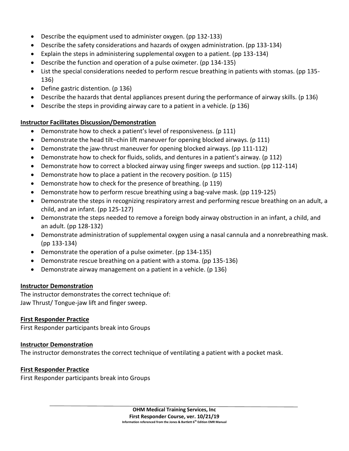- Describe the equipment used to administer oxygen. (pp 132-133)
- Describe the safety considerations and hazards of oxygen administration. (pp 133-134)
- Explain the steps in administering supplemental oxygen to a patient. (pp 133-134)
- Describe the function and operation of a pulse oximeter. (pp 134-135)
- List the special considerations needed to perform rescue breathing in patients with stomas. (pp 135- 136)
- Define gastric distention. (p 136)
- Describe the hazards that dental appliances present during the performance of airway skills. (p 136)
- Describe the steps in providing airway care to a patient in a vehicle. (p 136)

## **Instructor Facilitates Discussion/Demonstration**

- Demonstrate how to check a patient's level of responsiveness. (p 111)
- Demonstrate the head tilt–chin lift maneuver for opening blocked airways. (p 111)
- Demonstrate the jaw-thrust maneuver for opening blocked airways. (pp 111-112)
- Demonstrate how to check for fluids, solids, and dentures in a patient's airway. (p 112)
- Demonstrate how to correct a blocked airway using finger sweeps and suction. (pp 112-114)
- Demonstrate how to place a patient in the recovery position. (p 115)
- Demonstrate how to check for the presence of breathing. (p 119)
- Demonstrate how to perform rescue breathing using a bag-valve mask. (pp 119-125)
- Demonstrate the steps in recognizing respiratory arrest and performing rescue breathing on an adult, a child, and an infant. (pp 125-127)
- Demonstrate the steps needed to remove a foreign body airway obstruction in an infant, a child, and an adult. (pp 128-132)
- Demonstrate administration of supplemental oxygen using a nasal cannula and a nonrebreathing mask. (pp 133-134)
- Demonstrate the operation of a pulse oximeter. (pp 134-135)
- Demonstrate rescue breathing on a patient with a stoma. (pp 135-136)
- Demonstrate airway management on a patient in a vehicle. (p 136)

## **Instructor Demonstration**

The instructor demonstrates the correct technique of: Jaw Thrust/ Tongue-jaw lift and finger sweep.

## **First Responder Practice**

First Responder participants break into Groups

## **Instructor Demonstration**

The instructor demonstrates the correct technique of ventilating a patient with a pocket mask.

## **First Responder Practice**

First Responder participants break into Groups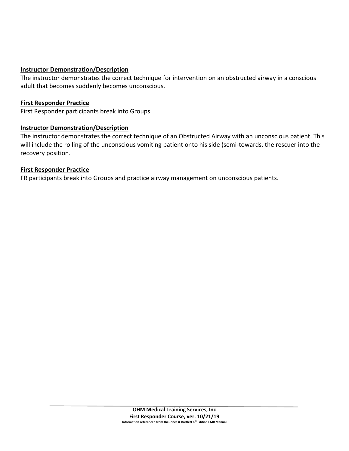## **Instructor Demonstration/Description**

The instructor demonstrates the correct technique for intervention on an obstructed airway in a conscious adult that becomes suddenly becomes unconscious.

## **First Responder Practice**

First Responder participants break into Groups.

## **Instructor Demonstration/Description**

The instructor demonstrates the correct technique of an Obstructed Airway with an unconscious patient. This will include the rolling of the unconscious vomiting patient onto his side (semi-towards, the rescuer into the recovery position.

## **First Responder Practice**

FR participants break into Groups and practice airway management on unconscious patients.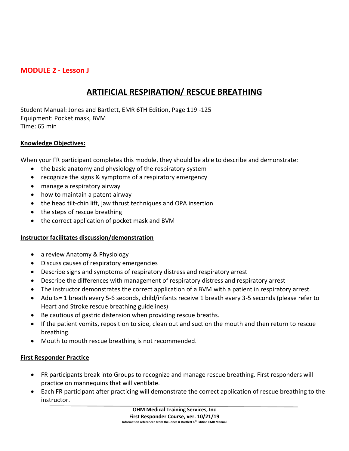## **MODULE 2 - Lesson J**

## **ARTIFICIAL RESPIRATION/ RESCUE BREATHING**

Student Manual: Jones and Bartlett, EMR 6TH Edition, Page 119 -125 Equipment: Pocket mask, BVM Time: 65 min

## **Knowledge Objectives:**

When your FR participant completes this module, they should be able to describe and demonstrate:

- the basic anatomy and physiology of the respiratory system
- recognize the signs & symptoms of a respiratory emergency
- manage a respiratory airway
- how to maintain a patent airway
- the head tilt-chin lift, jaw thrust techniques and OPA insertion
- the steps of rescue breathing
- the correct application of pocket mask and BVM

#### **Instructor facilitates discussion/demonstration**

- a review Anatomy & Physiology
- Discuss causes of respiratory emergencies
- Describe signs and symptoms of respiratory distress and respiratory arrest
- Describe the differences with management of respiratory distress and respiratory arrest
- The instructor demonstrates the correct application of a BVM with a patient in respiratory arrest.
- Adults= 1 breath every 5-6 seconds, child/infants receive 1 breath every 3-5 seconds (please refer to Heart and Stroke rescue breathing guidelines)
- Be cautious of gastric distension when providing rescue breaths.
- If the patient vomits, reposition to side, clean out and suction the mouth and then return to rescue breathing.
- Mouth to mouth rescue breathing is not recommended.

#### **First Responder Practice**

- FR participants break into Groups to recognize and manage rescue breathing. First responders will practice on mannequins that will ventilate.
- Each FR participant after practicing will demonstrate the correct application of rescue breathing to the instructor.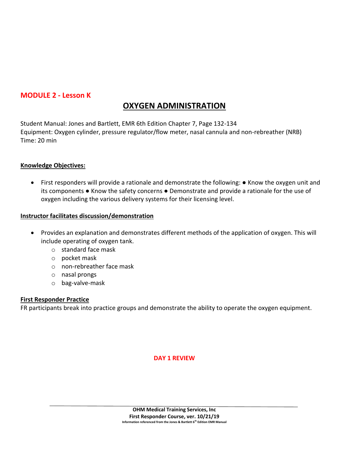## **MODULE 2 - Lesson K**

## **OXYGEN ADMINISTRATION**

Student Manual: Jones and Bartlett, EMR 6th Edition Chapter 7, Page 132-134 Equipment: Oxygen cylinder, pressure regulator/flow meter, nasal cannula and non-rebreather (NRB) Time: 20 min

## **Knowledge Objectives:**

• First responders will provide a rationale and demonstrate the following: ● Know the oxygen unit and its components ● Know the safety concerns ● Demonstrate and provide a rationale for the use of oxygen including the various delivery systems for their licensing level.

## **Instructor facilitates discussion/demonstration**

- Provides an explanation and demonstrates different methods of the application of oxygen. This will include operating of oxygen tank.
	- o standard face mask
	- o pocket mask
	- o non-rebreather face mask
	- o nasal prongs
	- o bag-valve-mask

#### **First Responder Practice**

FR participants break into practice groups and demonstrate the ability to operate the oxygen equipment.

#### **DAY 1 REVIEW**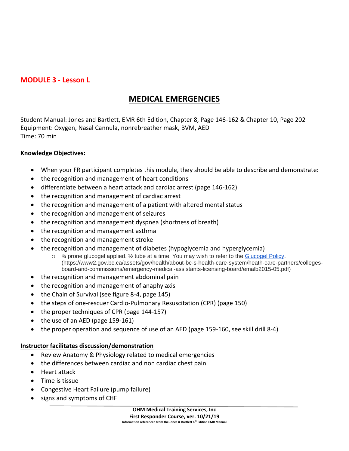## **MODULE 3 - Lesson L**

## **MEDICAL EMERGENCIES**

Student Manual: Jones and Bartlett, EMR 6th Edition, Chapter 8, Page 146-162 & Chapter 10, Page 202 Equipment: Oxygen, Nasal Cannula, nonrebreather mask, BVM, AED Time: 70 min

## **Knowledge Objectives:**

- When your FR participant completes this module, they should be able to describe and demonstrate:
- the recognition and management of heart conditions
- differentiate between a heart attack and cardiac arrest (page 146-162)
- the recognition and management of cardiac arrest
- the recognition and management of a patient with altered mental status
- the recognition and management of seizures
- the recognition and management dyspnea (shortness of breath)
- the recognition and management asthma
- the recognition and management stroke
- the recognition and management of diabetes (hypoglycemia and hyperglycemia)
	- $\circ$  % prone glucogel applied.  $\frac{1}{2}$  tube at a time. You may wish to refer to the [Glucogel Policy.](https://www2.gov.bc.ca/assets/gov/health/about-bc-s-health-care-system/heath-care-partners/colleges-board-and-commissions/emergency-medical-assistants-licensing-board/emalb2015-05.pdf) (https://www2.gov.bc.ca/assets/gov/health/about-bc-s-health-care-system/heath-care-partners/collegesboard-and-commissions/emergency-medical-assistants-licensing-board/emalb2015-05.pdf)
- the recognition and management abdominal pain
- the recognition and management of anaphylaxis
- the Chain of Survival (see figure 8-4, page 145)
- the steps of one-rescuer Cardio-Pulmonary Resuscitation (CPR) (page 150)
- the proper techniques of CPR (page 144-157)
- the use of an AED (page 159-161)
- the proper operation and sequence of use of an AED (page 159-160, see skill drill 8-4)

#### **Instructor facilitates discussion/demonstration**

- Review Anatomy & Physiology related to medical emergencies
- the differences between cardiac and non cardiac chest pain
- Heart attack
- Time is tissue
- Congestive Heart Failure (pump failure)
- signs and symptoms of CHF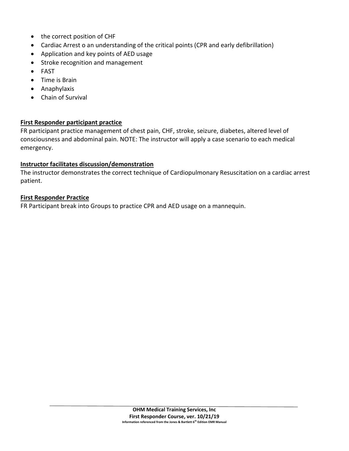- the correct position of CHF
- Cardiac Arrest o an understanding of the critical points (CPR and early defibrillation)
- Application and key points of AED usage
- Stroke recognition and management
- FAST
- Time is Brain
- Anaphylaxis
- Chain of Survival

## **First Responder participant practice**

FR participant practice management of chest pain, CHF, stroke, seizure, diabetes, altered level of consciousness and abdominal pain. NOTE: The instructor will apply a case scenario to each medical emergency.

## **Instructor facilitates discussion/demonstration**

The instructor demonstrates the correct technique of Cardiopulmonary Resuscitation on a cardiac arrest patient.

## **First Responder Practice**

FR Participant break into Groups to practice CPR and AED usage on a mannequin.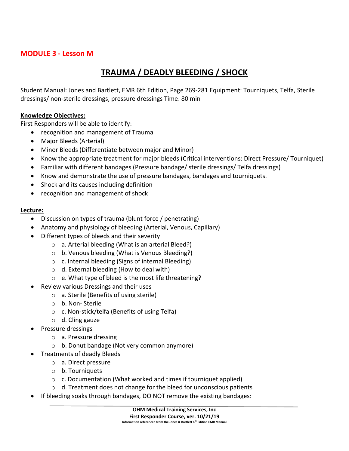## **MODULE 3 - Lesson M**

## **TRAUMA / DEADLY BLEEDING / SHOCK**

Student Manual: Jones and Bartlett, EMR 6th Edition, Page 269-281 Equipment: Tourniquets, Telfa, Sterile dressings/ non-sterile dressings, pressure dressings Time: 80 min

## **Knowledge Objectives:**

First Responders will be able to identify:

- recognition and management of Trauma
- Major Bleeds (Arterial)
- Minor Bleeds (Differentiate between major and Minor)
- Know the appropriate treatment for major bleeds (Critical interventions: Direct Pressure/ Tourniquet)
- Familiar with different bandages (Pressure bandage/ sterile dressings/ Telfa dressings)
- Know and demonstrate the use of pressure bandages, bandages and tourniquets.
- Shock and its causes including definition
- recognition and management of shock

## **Lecture:**

- Discussion on types of trauma (blunt force / penetrating)
- Anatomy and physiology of bleeding (Arterial, Venous, Capillary)
- Different types of bleeds and their severity
	- o a. Arterial bleeding (What is an arterial Bleed?)
	- o b. Venous bleeding (What is Venous Bleeding?)
	- o c. Internal bleeding (Signs of internal Bleeding)
	- o d. External bleeding (How to deal with)
	- o e. What type of bleed is the most life threatening?
- Review various Dressings and their uses
	- o a. Sterile (Benefits of using sterile)
	- o b. Non- Sterile
	- o c. Non-stick/telfa (Benefits of using Telfa)
	- $\circ$  d. Cling gauze
- Pressure dressings
	- o a. Pressure dressing
	- o b. Donut bandage (Not very common anymore)
	- Treatments of deadly Bleeds
		- o a. Direct pressure
		- o b. Tourniquets
		- o c. Documentation (What worked and times if tourniquet applied)
		- o d. Treatment does not change for the bleed for unconscious patients
- If bleeding soaks through bandages, DO NOT remove the existing bandages: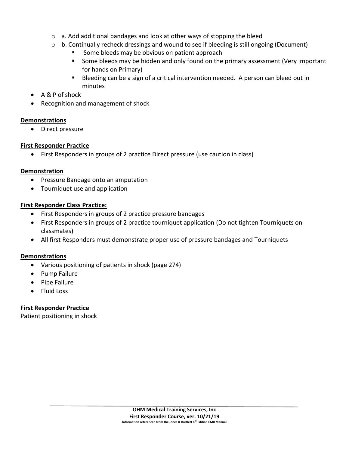- $\circ$  a. Add additional bandages and look at other ways of stopping the bleed
- $\circ$  b. Continually recheck dressings and wound to see if bleeding is still ongoing (Document)
	- Some bleeds may be obvious on patient approach
	- Some bleeds may be hidden and only found on the primary assessment (Very important for hands on Primary)
	- Bleeding can be a sign of a critical intervention needed. A person can bleed out in minutes
- A & P of shock
- Recognition and management of shock

## **Demonstrations**

• Direct pressure

## **First Responder Practice**

• First Responders in groups of 2 practice Direct pressure (use caution in class)

## **Demonstration**

- Pressure Bandage onto an amputation
- Tourniquet use and application

## **First Responder Class Practice:**

- First Responders in groups of 2 practice pressure bandages
- First Responders in groups of 2 practice tourniquet application (Do not tighten Tourniquets on classmates)
- All first Responders must demonstrate proper use of pressure bandages and Tourniquets

## **Demonstrations**

- Various positioning of patients in shock (page 274)
- Pump Failure
- Pipe Failure
- Fluid Loss

## **First Responder Practice**

Patient positioning in shock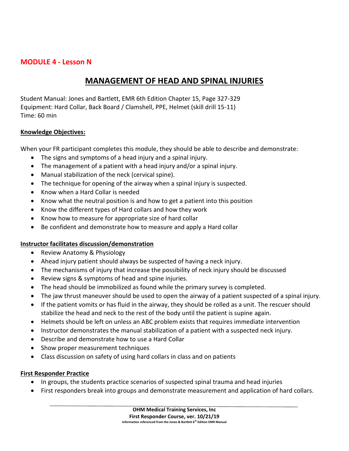## **MODULE 4 - Lesson N**

## **MANAGEMENT OF HEAD AND SPINAL INJURIES**

Student Manual: Jones and Bartlett, EMR 6th Edition Chapter 15, Page 327-329 Equipment: Hard Collar, Back Board / Clamshell, PPE, Helmet (skill drill 15-11) Time: 60 min

## **Knowledge Objectives:**

When your FR participant completes this module, they should be able to describe and demonstrate:

- The signs and symptoms of a head injury and a spinal injury.
- The management of a patient with a head injury and/or a spinal injury.
- Manual stabilization of the neck (cervical spine).
- The technique for opening of the airway when a spinal injury is suspected.
- Know when a Hard Collar is needed
- Know what the neutral position is and how to get a patient into this position
- Know the different types of Hard collars and how they work
- Know how to measure for appropriate size of hard collar
- Be confident and demonstrate how to measure and apply a Hard collar

## **Instructor facilitates discussion/demonstration**

- Review Anatomy & Physiology
- Ahead injury patient should always be suspected of having a neck injury.
- The mechanisms of injury that increase the possibility of neck injury should be discussed
- Review signs & symptoms of head and spine injuries.
- The head should be immobilized as found while the primary survey is completed.
- The jaw thrust maneuver should be used to open the airway of a patient suspected of a spinal injury.
- If the patient vomits or has fluid in the airway, they should be rolled as a unit. The rescuer should stabilize the head and neck to the rest of the body until the patient is supine again.
- Helmets should be left on unless an ABC problem exists that requires immediate intervention
- Instructor demonstrates the manual stabilization of a patient with a suspected neck injury.
- Describe and demonstrate how to use a Hard Collar
- Show proper measurement techniques
- Class discussion on safety of using hard collars in class and on patients

## **First Responder Practice**

- In groups, the students practice scenarios of suspected spinal trauma and head injuries
- First responders break into groups and demonstrate measurement and application of hard collars.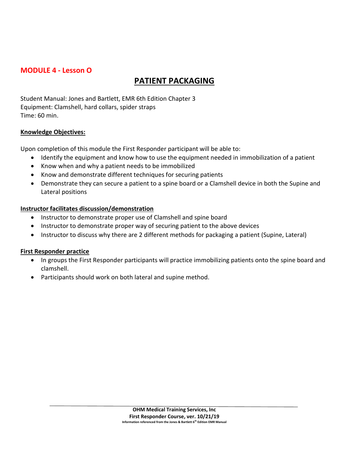## **MODULE 4 - Lesson O**

## **PATIENT PACKAGING**

Student Manual: Jones and Bartlett, EMR 6th Edition Chapter 3 Equipment: Clamshell, hard collars, spider straps Time: 60 min.

## **Knowledge Objectives:**

Upon completion of this module the First Responder participant will be able to:

- Identify the equipment and know how to use the equipment needed in immobilization of a patient
- Know when and why a patient needs to be immobilized
- Know and demonstrate different techniques for securing patients
- Demonstrate they can secure a patient to a spine board or a Clamshell device in both the Supine and Lateral positions

## **Instructor facilitates discussion/demonstration**

- Instructor to demonstrate proper use of Clamshell and spine board
- Instructor to demonstrate proper way of securing patient to the above devices
- Instructor to discuss why there are 2 different methods for packaging a patient (Supine, Lateral)

## **First Responder practice**

- In groups the First Responder participants will practice immobilizing patients onto the spine board and clamshell.
- Participants should work on both lateral and supine method.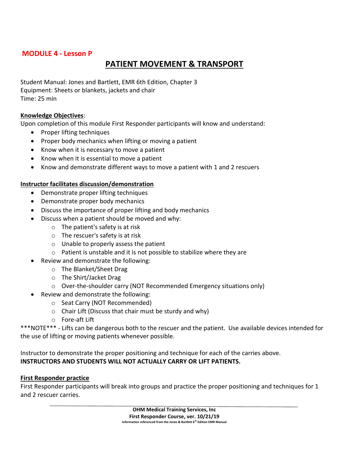## **MODULE 4 - Lesson P**

## **PATIENT MOVEMENT & TRANSPORT**

Student Manual: Jones and Bartlett, EMR 6th Edition, Chapter 3 Equipment: Sheets or blankets, jackets and chair Time: 25 min

## **Knowledge Objectives**:

Upon completion of this module First Responder participants will know and understand:

- Proper lifting techniques
- Proper body mechanics when lifting or moving a patient
- Know when it is necessary to move a patient
- Know when it is essential to move a patient
- Know and demonstrate different ways to move a patient with 1 and 2 rescuers

## **Instructor facilitates discussion/demonstration**

- Demonstrate proper lifting techniques
- Demonstrate proper body mechanics
- Discuss the importance of proper lifting and body mechanics
- Discuss when a patient should be moved and why:
	- o The patient's safety is at risk
	- o The rescuer's safety is at risk
	- o Unable to properly assess the patient
	- o Patient is unstable and it is not possible to stabilize where they are
	- Review and demonstrate the following:
		- o The Blanket/Sheet Drag
		- o The Shirt/Jacket Drag
		- o Over-the-shoulder carry (NOT Recommended Emergency situations only)
- Review and demonstrate the following:
	- o Seat Carry (NOT Recommended)
	- o Chair Lift (Discuss that chair must be sturdy and why)
	- o Fore-aft Lift

\*\*\*NOTE\*\*\* - Lifts can be dangerous both to the rescuer and the patient. Use available devices intended for the use of lifting or moving patients whenever possible.

Instructor to demonstrate the proper positioning and technique for each of the carries above. **INSTRUCTORS AND STUDENTS WILL NOT ACTUALLY CARRY OR LIFT PATIENTS.** 

#### **First Responder practice**

First Responder participants will break into groups and practice the proper positioning and techniques for 1 and 2 rescuer carries.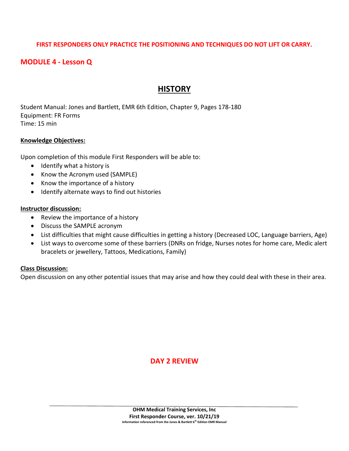## **FIRST RESPONDERS ONLY PRACTICE THE POSITIONING AND TECHNIQUES DO NOT LIFT OR CARRY.**

## **MODULE 4 - Lesson Q**

## **HISTORY**

Student Manual: Jones and Bartlett, EMR 6th Edition, Chapter 9, Pages 178-180 Equipment: FR Forms Time: 15 min

#### **Knowledge Objectives:**

Upon completion of this module First Responders will be able to:

- Identify what a history is
- Know the Acronym used (SAMPLE)
- Know the importance of a history
- Identify alternate ways to find out histories

#### **Instructor discussion:**

- Review the importance of a history
- Discuss the SAMPLE acronym
- List difficulties that might cause difficulties in getting a history (Decreased LOC, Language barriers, Age)
- List ways to overcome some of these barriers (DNRs on fridge, Nurses notes for home care, Medic alert bracelets or jewellery, Tattoos, Medications, Family)

#### **Class Discussion:**

Open discussion on any other potential issues that may arise and how they could deal with these in their area.

## **DAY 2 REVIEW**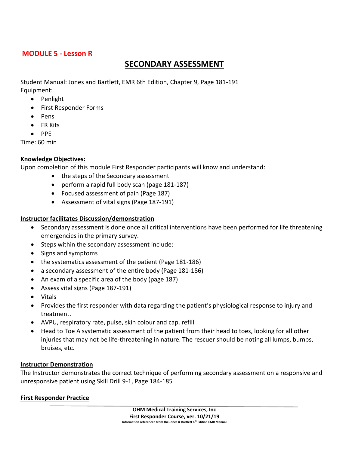## **MODULE 5 - Lesson R**

## **SECONDARY ASSESSMENT**

Student Manual: Jones and Bartlett, EMR 6th Edition, Chapter 9, Page 181-191 Equipment:

- Penlight
- First Responder Forms
- Pens
- FR Kits
- PPE

Time: 60 min

## **Knowledge Objectives:**

Upon completion of this module First Responder participants will know and understand:

- the steps of the Secondary assessment
- perform a rapid full body scan (page 181-187)
- Focused assessment of pain (Page 187)
- Assessment of vital signs (Page 187-191)

## **Instructor facilitates Discussion/demonstration**

- Secondary assessment is done once all critical interventions have been performed for life threatening emergencies in the primary survey.
- Steps within the secondary assessment include:
- Signs and symptoms
- the systematics assessment of the patient (Page 181-186)
- a secondary assessment of the entire body (Page 181-186)
- An exam of a specific area of the body (page 187)
- Assess vital signs (Page 187-191)
- Vitals
- Provides the first responder with data regarding the patient's physiological response to injury and treatment.
- AVPU, respiratory rate, pulse, skin colour and cap. refill
- Head to Toe A systematic assessment of the patient from their head to toes, looking for all other injuries that may not be life-threatening in nature. The rescuer should be noting all lumps, bumps, bruises, etc.

## **Instructor Demonstration**

The Instructor demonstrates the correct technique of performing secondary assessment on a responsive and unresponsive patient using Skill Drill 9-1, Page 184-185

## **First Responder Practice**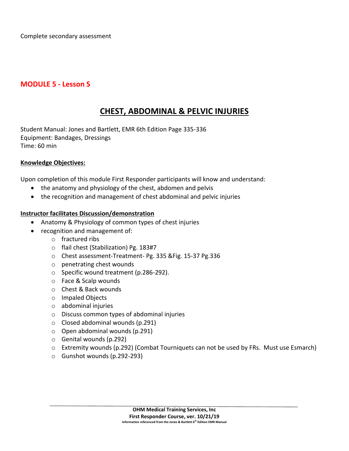Complete secondary assessment

## **MODULE 5 - Lesson S**

## **CHEST, ABDOMINAL & PELVIC INJURIES**

Student Manual: Jones and Bartlett, EMR 6th Edition Page 335-336 Equipment: Bandages, Dressings Time: 60 min

## **Knowledge Objectives:**

Upon completion of this module First Responder participants will know and understand:

- the anatomy and physiology of the chest, abdomen and pelvis
- the recognition and management of chest abdominal and pelvic injuries

#### **Instructor facilitates Discussion/demonstration**

- Anatomy & Physiology of common types of chest injuries
- recognition and management of:
	- o fractured ribs
	- o flail chest (Stabilization) Pg. 183#7
	- o Chest assessment-Treatment- Pg. 335 &Fig. 15-37 Pg.336
	- o penetrating chest wounds
	- o Specific wound treatment (p.286-292).
	- o Face & Scalp wounds
	- o Chest & Back wounds
	- o Impaled Objects
	- o abdominal injuries
	- o Discuss common types of abdominal injuries
	- o Closed abdominal wounds (p.291)
	- o Open abdominal wounds (p.291)
	- o Genital wounds (p.292)
	- o Extremity wounds (p.292) (Combat Tourniquets can not be used by FRs. Must use Esmarch)
	- o Gunshot wounds (p.292-293)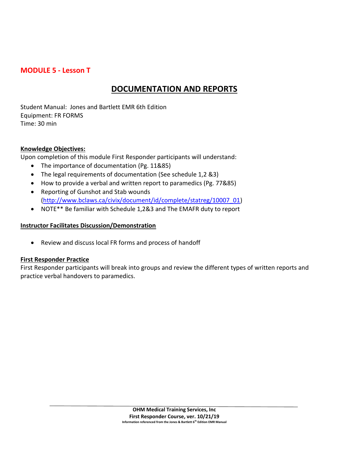## **MODULE 5 - Lesson T**

## **DOCUMENTATION AND REPORTS**

Student Manual: Jones and Bartlett EMR 6th Edition Equipment: FR FORMS Time: 30 min

## **Knowledge Objectives:**

Upon completion of this module First Responder participants will understand:

- The importance of documentation (Pg. 11&85)
- The legal requirements of documentation (See schedule 1,2 &3)
- How to provide a verbal and written report to paramedics (Pg. 77&85)
- Reporting of Gunshot and Stab wounds [\(http://www.bclaws.ca/civix/document/id/complete/statreg/10007\\_01\)](http://www.bclaws.ca/civix/document/id/complete/statreg/10007_01)
- NOTE\*\* Be familiar with Schedule 1,2&3 and The EMAFR duty to report

## **Instructor Facilitates Discussion/Demonstration**

• Review and discuss local FR forms and process of handoff

## **First Responder Practice**

First Responder participants will break into groups and review the different types of written reports and practice verbal handovers to paramedics.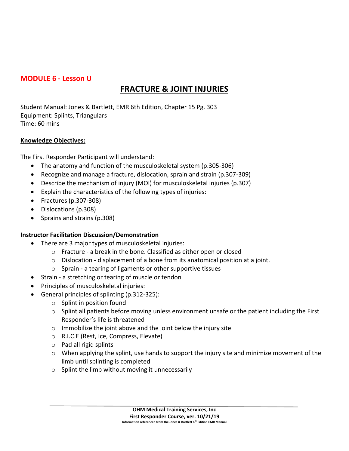## **MODULE 6 - Lesson U**

## **FRACTURE & JOINT INJURIES**

Student Manual: Jones & Bartlett, EMR 6th Edition, Chapter 15 Pg. 303 Equipment: Splints, Triangulars Time: 60 mins

## **Knowledge Objectives:**

The First Responder Participant will understand:

- The anatomy and function of the musculoskeletal system (p.305-306)
- Recognize and manage a fracture, dislocation, sprain and strain (p.307-309)
- Describe the mechanism of injury (MOI) for musculoskeletal injuries (p.307)
- Explain the characteristics of the following types of injuries:
- Fractures (p.307-308)
- Dislocations (p.308)
- Sprains and strains (p.308)

## **Instructor Facilitation Discussion/Demonstration**

- There are 3 major types of musculoskeletal injuries:
	- o Fracture a break in the bone. Classified as either open or closed
	- o Dislocation displacement of a bone from its anatomical position at a joint.
	- o Sprain a tearing of ligaments or other supportive tissues
- Strain a stretching or tearing of muscle or tendon
- Principles of musculoskeletal injuries:
- General principles of splinting (p.312-325):
	- o Splint in position found
	- $\circ$  Splint all patients before moving unless environment unsafe or the patient including the First Responder's life is threatened
	- $\circ$  Immobilize the joint above and the joint below the injury site
	- o R.I.C.E (Rest, Ice, Compress, Elevate)
	- o Pad all rigid splints
	- $\circ$  When applying the splint, use hands to support the injury site and minimize movement of the limb until splinting is completed
	- $\circ$  Splint the limb without moving it unnecessarily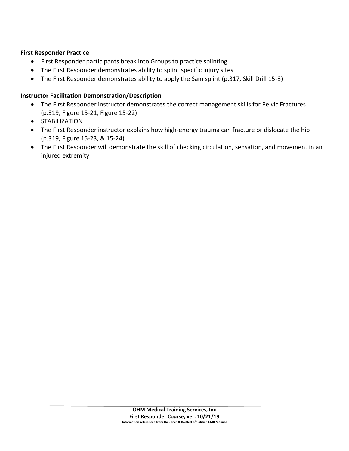## **First Responder Practice**

- First Responder participants break into Groups to practice splinting.
- The First Responder demonstrates ability to splint specific injury sites
- The First Responder demonstrates ability to apply the Sam splint (p.317, Skill Drill 15-3)

## **Instructor Facilitation Demonstration/Description**

- The First Responder instructor demonstrates the correct management skills for Pelvic Fractures (p.319, Figure 15-21, Figure 15-22)
- STABILIZATION
- The First Responder instructor explains how high-energy trauma can fracture or dislocate the hip (p.319, Figure 15-23, & 15-24)
- The First Responder will demonstrate the skill of checking circulation, sensation, and movement in an injured extremity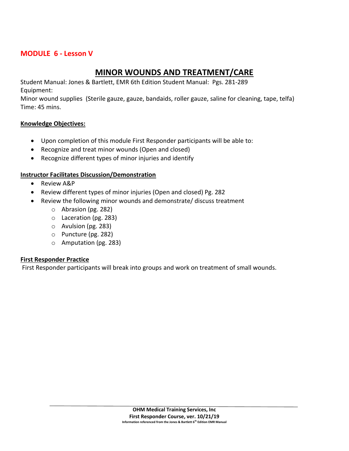## **MODULE 6 - Lesson V**

## **MINOR WOUNDS AND TREATMENT/CARE**

Student Manual: Jones & Bartlett, EMR 6th Edition Student Manual: Pgs. 281-289 Equipment:

Minor wound supplies (Sterile gauze, gauze, bandaids, roller gauze, saline for cleaning, tape, telfa) Time: 45 mins.

#### **Knowledge Objectives:**

- Upon completion of this module First Responder participants will be able to:
- Recognize and treat minor wounds (Open and closed)
- Recognize different types of minor injuries and identify

## **Instructor Facilitates Discussion/Demonstration**

- Review A&P
- Review different types of minor injuries (Open and closed) Pg. 282
- Review the following minor wounds and demonstrate/ discuss treatment
	- o Abrasion (pg. 282)
	- o Laceration (pg. 283)
	- o Avulsion (pg. 283)
	- o Puncture (pg. 282)
	- o Amputation (pg. 283)

#### **First Responder Practice**

First Responder participants will break into groups and work on treatment of small wounds.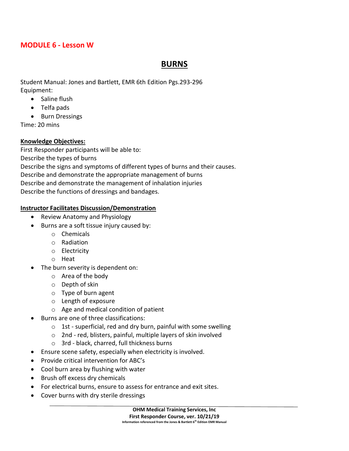## **MODULE 6 - Lesson W**

## **BURNS**

Student Manual: Jones and Bartlett, EMR 6th Edition Pgs.293-296 Equipment:

- Saline flush
- Telfa pads
- Burn Dressings

Time: 20 mins

## **Knowledge Objectives:**

First Responder participants will be able to: Describe the types of burns Describe the signs and symptoms of different types of burns and their causes. Describe and demonstrate the appropriate management of burns Describe and demonstrate the management of inhalation injuries

Describe the functions of dressings and bandages.

## **Instructor Facilitates Discussion/Demonstration**

- Review Anatomy and Physiology
- Burns are a soft tissue injury caused by:
	- o Chemicals
	- o Radiation
	- o Electricity
	- o Heat
- The burn severity is dependent on:
	- o Area of the body
	- o Depth of skin
	- o Type of burn agent
	- o Length of exposure
	- o Age and medical condition of patient
- Burns are one of three classifications:
	- $\circ$  1st superficial, red and dry burn, painful with some swelling
	- o 2nd red, blisters, painful, multiple layers of skin involved
	- o 3rd black, charred, full thickness burns
- Ensure scene safety, especially when electricity is involved.
- Provide critical intervention for ABC's
- Cool burn area by flushing with water
- Brush off excess dry chemicals
- For electrical burns, ensure to assess for entrance and exit sites.
- Cover burns with dry sterile dressings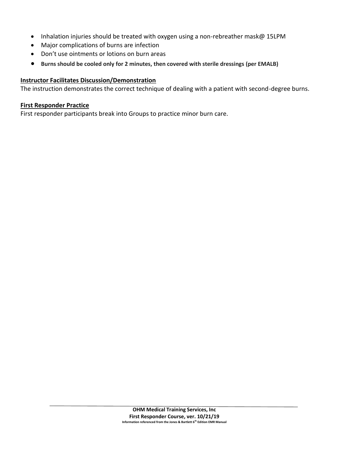- Inhalation injuries should be treated with oxygen using a non-rebreather mask@ 15LPM
- Major complications of burns are infection
- Don't use ointments or lotions on burn areas
- **Burns should be cooled only for 2 minutes, then covered with sterile dressings (per EMALB)**

#### **Instructor Facilitates Discussion/Demonstration**

The instruction demonstrates the correct technique of dealing with a patient with second-degree burns.

#### **First Responder Practice**

First responder participants break into Groups to practice minor burn care.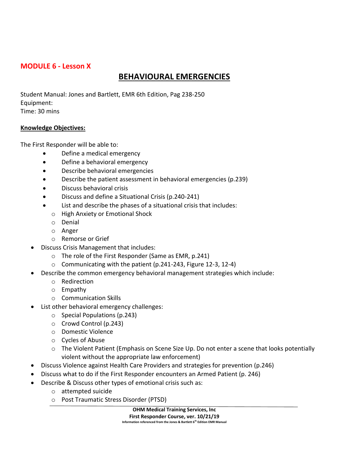## **MODULE 6 - Lesson X**

## **BEHAVIOURAL EMERGENCIES**

Student Manual: Jones and Bartlett, EMR 6th Edition, Pag 238-250 Equipment: Time: 30 mins

## **Knowledge Objectives:**

The First Responder will be able to:

- Define a medical emergency
- Define a behavioral emergency
- Describe behavioral emergencies
- Describe the patient assessment in behavioral emergencies (p.239)
- Discuss behavioral crisis
- Discuss and define a Situational Crisis (p.240-241)
- List and describe the phases of a situational crisis that includes:
- o High Anxiety or Emotional Shock
- o Denial
- o Anger
- o Remorse or Grief
- Discuss Crisis Management that includes:
	- o The role of the First Responder (Same as EMR, p.241)
	- o Communicating with the patient (p.241-243, Figure 12-3, 12-4)
- Describe the common emergency behavioral management strategies which include:
	- o Redirection
	- o Empathy
	- o Communication Skills
- List other behavioral emergency challenges:
	- o Special Populations (p.243)
	- o Crowd Control (p.243)
	- o Domestic Violence
	- o Cycles of Abuse
	- $\circ$  The Violent Patient (Emphasis on Scene Size Up. Do not enter a scene that looks potentially violent without the appropriate law enforcement)
- Discuss Violence against Health Care Providers and strategies for prevention (p.246)
- Discuss what to do if the First Responder encounters an Armed Patient (p. 246)
- Describe & Discuss other types of emotional crisis such as:
	- o attempted suicide
	- o Post Traumatic Stress Disorder (PTSD)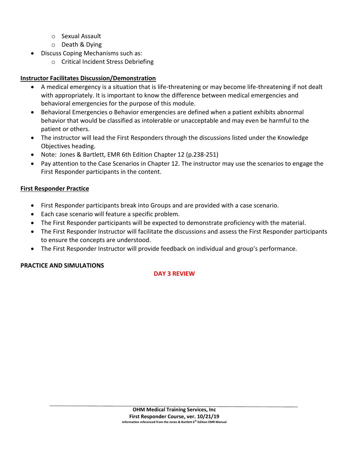- o Sexual Assault
- o Death & Dying
- Discuss Coping Mechanisms such as:
	- o Critical Incident Stress Debriefing

## **Instructor Facilitates Discussion/Demonstration**

- A medical emergency is a situation that is life-threatening or may become life-threatening if not dealt with appropriately. It is important to know the difference between medical emergencies and behavioral emergencies for the purpose of this module.
- Behavioral Emergencies o Behavior emergencies are defined when a patient exhibits abnormal behavior that would be classified as intolerable or unacceptable and may even be harmful to the patient or others.
- The instructor will lead the First Responders through the discussions listed under the Knowledge Objectives heading.
- Note: Jones & Bartlett, EMR 6th Edition Chapter 12 (p.238-251)
- Pay attention to the Case Scenarios in Chapter 12. The instructor may use the scenarios to engage the First Responder participants in the content.

## **First Responder Practice**

- First Responder participants break into Groups and are provided with a case scenario.
- Each case scenario will feature a specific problem.
- The First Responder participants will be expected to demonstrate proficiency with the material.
- The First Responder Instructor will facilitate the discussions and assess the First Responder participants to ensure the concepts are understood.
- The First Responder Instructor will provide feedback on individual and group's performance.

## **PRACTICE AND SIMULATIONS**

## **DAY 3 REVIEW**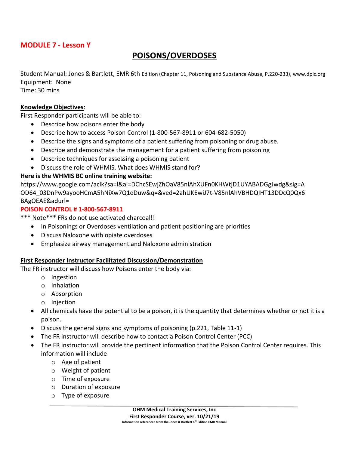## **MODULE 7 - Lesson Y**

## **POISONS/OVERDOSES**

Student Manual: Jones & Bartlett, EMR 6th Edition (Chapter 11, Poisoning and Substance Abuse, P.220-233), www.dpic.org Equipment: None

Time: 30 mins

#### **Knowledge Objectives**:

First Responder participants will be able to:

- Describe how poisons enter the body
- Describe how to access Poison Control (1-800-567-8911 or 604-682-5050)
- Describe the signs and symptoms of a patient suffering from poisoning or drug abuse.
- Describe and demonstrate the management for a patient suffering from poisoning
- Describe techniques for assessing a poisoning patient
- Discuss the role of WHMIS. What does WHMIS stand for?

## **Here is the WHMIS BC online training website:**

https://www.google.com/aclk?sa=l&ai=DChcSEwjZhOaV85nlAhXUFn0KHWtjD1UYABADGgJwdg&sig=A OD64\_03DnPw9ayooHCmA5hNiXw7Q1eDuw&q=&ved=2ahUKEwiJ7t-V85nlAhVBHDQIHT13DDcQ0Qx6 BAgOEAE&adurl=

#### **POISON CONTROL # 1-800-567-8911**

\*\*\* Note\*\*\* FRs do not use activated charcoal!!

- In Poisonings or Overdoses ventilation and patient positioning are priorities
- Discuss Naloxone with opiate overdoses
- Emphasize airway management and Naloxone administration

#### **First Responder Instructor Facilitated Discussion/Demonstration**

The FR instructor will discuss how Poisons enter the body via:

- o Ingestion
- o Inhalation
- o Absorption
- o Injection
- All chemicals have the potential to be a poison, it is the quantity that determines whether or not it is a poison.
- Discuss the general signs and symptoms of poisoning (p.221, Table 11-1)
- The FR instructor will describe how to contact a Poison Control Center (PCC)
- The FR instructor will provide the pertinent information that the Poison Control Center requires. This information will include
	- o Age of patient
	- o Weight of patient
	- o Time of exposure
	- o Duration of exposure
	- o Type of exposure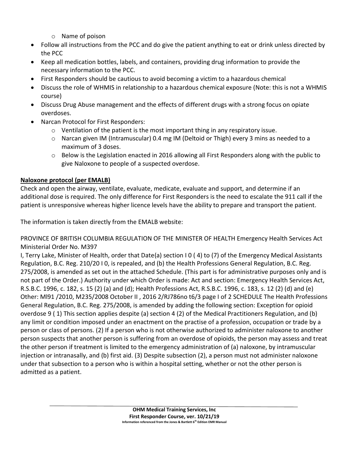- o Name of poison
- Follow all instructions from the PCC and do give the patient anything to eat or drink unless directed by the PCC
- Keep all medication bottles, labels, and containers, providing drug information to provide the necessary information to the PCC.
- First Responders should be cautious to avoid becoming a victim to a hazardous chemical
- Discuss the role of WHMIS in relationship to a hazardous chemical exposure (Note: this is not a WHMIS course)
- Discuss Drug Abuse management and the effects of different drugs with a strong focus on opiate overdoses.
- Narcan Protocol for First Responders:
	- $\circ$  Ventilation of the patient is the most important thing in any respiratory issue.
	- $\circ$  Narcan given IM (Intramuscular) 0.4 mg IM (Deltoid or Thigh) every 3 mins as needed to a maximum of 3 doses.
	- $\circ$  Below is the Legislation enacted in 2016 allowing all First Responders along with the public to give Naloxone to people of a suspected overdose.

## **Naloxone protocol (per EMALB)**

Check and open the airway, ventilate, evaluate, medicate, evaluate and support, and determine if an additional dose is required. The only difference for First Responders is the need to escalate the 911 call if the patient is unresponsive whereas higher licence levels have the ability to prepare and transport the patient.

The information is taken directly from the EMALB website:

PROVINCE OF BRITISH COLUMBIA REGULATION OF THE MINISTER OF HEALTH Emergency Health Services Act Ministerial Order No. M397

I, Terry Lake, Minister of Health, order that Date(a) section I 0 ( 4) to (7) of the Emergency Medical Assistants Regulation, B.C. Reg. 210/20 I 0, is repealed, and (b) the Health Professions General Regulation, B.C. Reg. 275/2008, is amended as set out in the attached Schedule. (This part is for administrative purposes only and is not part of the Order.) Authority under which Order is made: Act and section: Emergency Health Services Act, R.S.B.C. 1996, c. 182, s. 15 (2) (a) and (d); Health Professions Act, R.S.B.C. 1996, c. 183, s. 12 (2) (d) and (e) Other: Ml91 /2010, M235/2008 October II , 2016 2/RJ786no t6/3 page I of 2 SCHEDULE The Health Professions General Regulation, B.C. Reg. 275/2008, is amended by adding the following section: Exception for opioid overdose 9 ( 1) This section applies despite (a) section 4 (2) of the Medical Practitioners Regulation, and (b) any limit or condition imposed under an enactment on the practise of a profession, occupation or trade by a person or class of persons. (2) If a person who is not otherwise authorized to administer naloxone to another person suspects that another person is suffering from an overdose of opioids, the person may assess and treat the other person if treatment is limited to the emergency administration of (a) naloxone, by intramuscular injection or intranasally, and (b) first aid. (3) Despite subsection (2), a person must not administer naloxone under that subsection to a person who is within a hospital setting, whether or not the other person is admitted as a patient.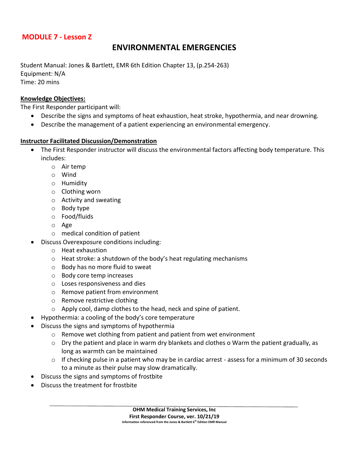## **MODULE 7 - Lesson Z**

## **ENVIRONMENTAL EMERGENCIES**

Student Manual: Jones & Bartlett, EMR 6th Edition Chapter 13, (p.254-263) Equipment: N/A Time: 20 mins

## **Knowledge Objectives:**

The First Responder participant will:

- Describe the signs and symptoms of heat exhaustion, heat stroke, hypothermia, and near drowning.
- Describe the management of a patient experiencing an environmental emergency.

#### **Instructor Facilitated Discussion/Demonstration**

- The First Responder instructor will discuss the environmental factors affecting body temperature. This includes:
	- o Air temp
	- o Wind
	- o Humidity
	- o Clothing worn
	- o Activity and sweating
	- o Body type
	- o Food/fluids
	- o Age
	- o medical condition of patient
	- Discuss Overexposure conditions including:
		- o Heat exhaustion
		- o Heat stroke: a shutdown of the body's heat regulating mechanisms
		- o Body has no more fluid to sweat
		- o Body core temp increases
		- o Loses responsiveness and dies
		- o Remove patient from environment
		- o Remove restrictive clothing
		- o Apply cool, damp clothes to the head, neck and spine of patient.
- Hypothermia: a cooling of the body's core temperature
- Discuss the signs and symptoms of hypothermia
	- o Remove wet clothing from patient and patient from wet environment
	- o Dry the patient and place in warm dry blankets and clothes o Warm the patient gradually, as long as warmth can be maintained
	- $\circ$  If checking pulse in a patient who may be in cardiac arrest assess for a minimum of 30 seconds to a minute as their pulse may slow dramatically.
- Discuss the signs and symptoms of frostbite
- Discuss the treatment for frostbite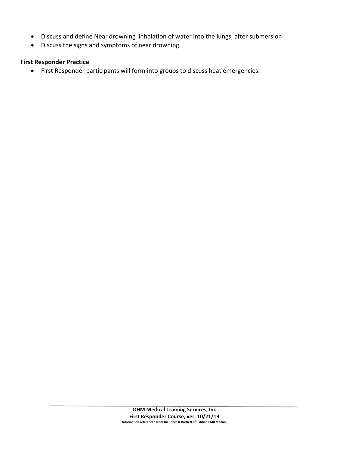- Discuss and define Near drowning inhalation of water into the lungs, after submersion
- Discuss the signs and symptoms of near drowning

#### **First Responder Practice**

• First Responder participants will form into groups to discuss heat emergencies.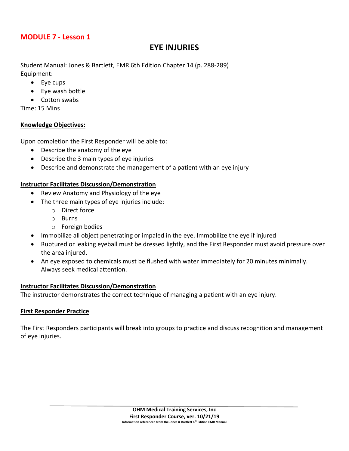## **EYE INJURIES**

Student Manual: Jones & Bartlett, EMR 6th Edition Chapter 14 (p. 288-289) Equipment:

- Eye cups
- Eye wash bottle
- Cotton swabs

Time: 15 Mins

## **Knowledge Objectives:**

Upon completion the First Responder will be able to:

- Describe the anatomy of the eye
- Describe the 3 main types of eye injuries
- Describe and demonstrate the management of a patient with an eye injury

## **Instructor Facilitates Discussion/Demonstration**

- Review Anatomy and Physiology of the eye
- The three main types of eye injuries include:
	- o Direct force
	- o Burns
	- o Foreign bodies
- Immobilize all object penetrating or impaled in the eye. Immobilize the eye if injured
- Ruptured or leaking eyeball must be dressed lightly, and the First Responder must avoid pressure over the area injured.
- An eye exposed to chemicals must be flushed with water immediately for 20 minutes minimally. Always seek medical attention.

## **Instructor Facilitates Discussion/Demonstration**

The instructor demonstrates the correct technique of managing a patient with an eye injury.

## **First Responder Practice**

The First Responders participants will break into groups to practice and discuss recognition and management of eye injuries.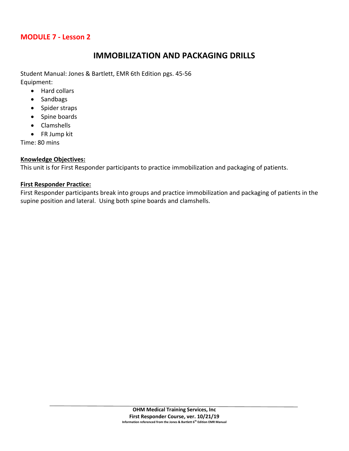## **IMMOBILIZATION AND PACKAGING DRILLS**

Student Manual: Jones & Bartlett, EMR 6th Edition pgs. 45-56 Equipment:

- Hard collars
- Sandbags
- Spider straps
- Spine boards
- Clamshells
- FR Jump kit

Time: 80 mins

## **Knowledge Objectives:**

This unit is for First Responder participants to practice immobilization and packaging of patients.

## **First Responder Practice:**

First Responder participants break into groups and practice immobilization and packaging of patients in the supine position and lateral. Using both spine boards and clamshells.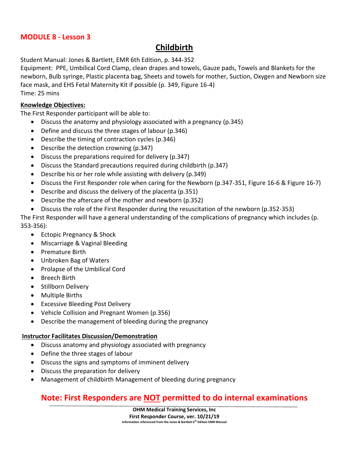## **Childbirth**

Student Manual: Jones & Bartlett, EMR 6th Edition, p. 344-352

Equipment: PPE, Umbilical Cord Clamp, clean drapes and towels, Gauze pads, Towels and Blankets for the newborn, Bulb syringe, Plastic placenta bag, Sheets and towels for mother, Suction, Oxygen and Newborn size face mask, and EHS Fetal Maternity Kit if possible (p. 349, Figure 16-4) Time: 25 mins

## **Knowledge Objectives:**

The First Responder participant will be able to:

- Discuss the anatomy and physiology associated with a pregnancy (p.345)
- Define and discuss the three stages of labour (p.346)
- Describe the timing of contraction cycles (p.346)
- Describe the detection crowning (p.347)
- Discuss the preparations required for delivery (p.347)
- Discuss the Standard precautions required during childbirth (p.347)
- Describe his or her role while assisting with delivery (p.349)
- Discuss the First Responder role when caring for the Newborn (p.347-351, Figure 16-6 & Figure 16-7)
- Describe and discuss the delivery of the placenta (p.351)
- Describe the aftercare of the mother and newborn (p.352)
- Discuss the role of the First Responder during the resuscitation of the newborn (p.352-353)

The First Responder will have a general understanding of the complications of pregnancy which includes (p. 353-356):

- Ectopic Pregnancy & Shock
- Miscarriage & Vaginal Bleeding
- Premature Birth
- Unbroken Bag of Waters
- Prolapse of the Umbilical Cord
- Breech Birth
- Stillborn Delivery
- Multiple Births
- Excessive Bleeding Post Delivery
- Vehicle Collision and Pregnant Women (p.356)
- Describe the management of bleeding during the pregnancy

## **Instructor Facilitates Discussion/Demonstration**

- Discuss anatomy and physiology associated with pregnancy
- Define the three stages of labour
- Discuss the signs and symptoms of imminent delivery
- Discuss the preparation for delivery
- Management of childbirth Management of bleeding during pregnancy

## **Note: First Responders are NOT permitted to do internal examinations**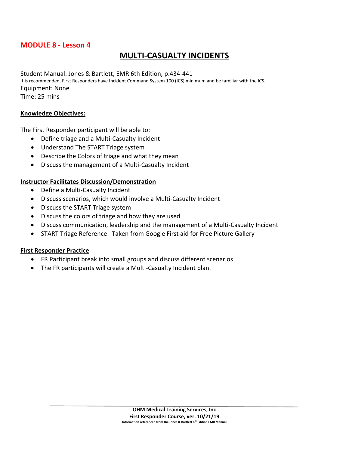## **MULTI-CASUALTY INCIDENTS**

Student Manual: Jones & Bartlett, EMR 6th Edition, p.434-441 It is recommended, First Responders have Incident Command System 100 (ICS) minimum and be familiar with the ICS. Equipment: None Time: 25 mins

#### **Knowledge Objectives:**

The First Responder participant will be able to:

- Define triage and a Multi-Casualty Incident
- Understand The START Triage system
- Describe the Colors of triage and what they mean
- Discuss the management of a Multi-Casualty Incident

#### **Instructor Facilitates Discussion/Demonstration**

- Define a Multi-Casualty Incident
- Discuss scenarios, which would involve a Multi-Casualty Incident
- Discuss the START Triage system
- Discuss the colors of triage and how they are used
- Discuss communication, leadership and the management of a Multi-Casualty Incident
- START Triage Reference: Taken from Google First aid for Free Picture Gallery

#### **First Responder Practice**

- FR Participant break into small groups and discuss different scenarios
- The FR participants will create a Multi-Casualty Incident plan.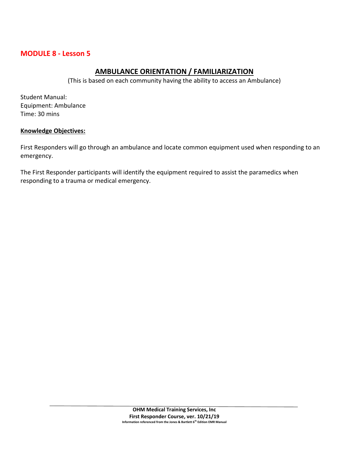## **AMBULANCE ORIENTATION / FAMILIARIZATION**

(This is based on each community having the ability to access an Ambulance)

Student Manual: Equipment: Ambulance Time: 30 mins

## **Knowledge Objectives:**

First Responders will go through an ambulance and locate common equipment used when responding to an emergency.

The First Responder participants will identify the equipment required to assist the paramedics when responding to a trauma or medical emergency.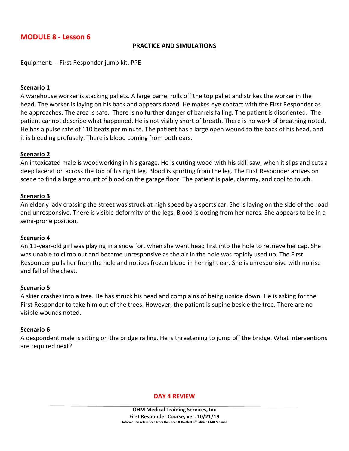#### **PRACTICE AND SIMULATIONS**

Equipment: - First Responder jump kit, PPE

#### **Scenario 1**

A warehouse worker is stacking pallets. A large barrel rolls off the top pallet and strikes the worker in the head. The worker is laying on his back and appears dazed. He makes eye contact with the First Responder as he approaches. The area is safe. There is no further danger of barrels falling. The patient is disoriented. The patient cannot describe what happened. He is not visibly short of breath. There is no work of breathing noted. He has a pulse rate of 110 beats per minute. The patient has a large open wound to the back of his head, and it is bleeding profusely. There is blood coming from both ears.

#### **Scenario 2**

An intoxicated male is woodworking in his garage. He is cutting wood with his skill saw, when it slips and cuts a deep laceration across the top of his right leg. Blood is spurting from the leg. The First Responder arrives on scene to find a large amount of blood on the garage floor. The patient is pale, clammy, and cool to touch.

#### **Scenario 3**

An elderly lady crossing the street was struck at high speed by a sports car. She is laying on the side of the road and unresponsive. There is visible deformity of the legs. Blood is oozing from her nares. She appears to be in a semi-prone position.

#### **Scenario 4**

An 11-year-old girl was playing in a snow fort when she went head first into the hole to retrieve her cap. She was unable to climb out and became unresponsive as the air in the hole was rapidly used up. The First Responder pulls her from the hole and notices frozen blood in her right ear. She is unresponsive with no rise and fall of the chest.

#### **Scenario 5**

A skier crashes into a tree. He has struck his head and complains of being upside down. He is asking for the First Responder to take him out of the trees. However, the patient is supine beside the tree. There are no visible wounds noted.

#### **Scenario 6**

A despondent male is sitting on the bridge railing. He is threatening to jump off the bridge. What interventions are required next?

#### **DAY 4 REVIEW**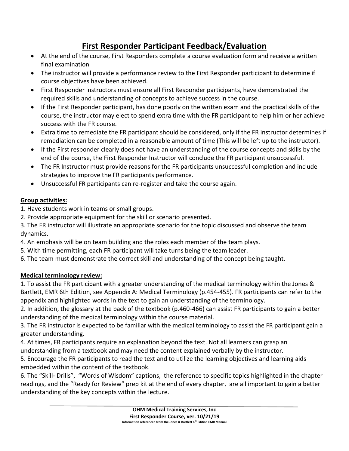## **First Responder Participant Feedback/Evaluation**

- At the end of the course, First Responders complete a course evaluation form and receive a written final examination
- The instructor will provide a performance review to the First Responder participant to determine if course objectives have been achieved.
- First Responder instructors must ensure all First Responder participants, have demonstrated the required skills and understanding of concepts to achieve success in the course.
- If the First Responder participant, has done poorly on the written exam and the practical skills of the course, the instructor may elect to spend extra time with the FR participant to help him or her achieve success with the FR course.
- Extra time to remediate the FR participant should be considered, only if the FR instructor determines if remediation can be completed in a reasonable amount of time (This will be left up to the instructor).
- If the First responder clearly does not have an understanding of the course concepts and skills by the end of the course, the First Responder Instructor will conclude the FR participant unsuccessful.
- The FR Instructor must provide reasons for the FR participants unsuccessful completion and include strategies to improve the FR participants performance.
- Unsuccessful FR participants can re-register and take the course again.

## **Group activities:**

- 1. Have students work in teams or small groups.
- 2. Provide appropriate equipment for the skill or scenario presented.
- 3. The FR instructor will illustrate an appropriate scenario for the topic discussed and observe the team dynamics.
- 4. An emphasis will be on team building and the roles each member of the team plays.
- 5. With time permitting, each FR participant will take turns being the team leader.
- 6. The team must demonstrate the correct skill and understanding of the concept being taught.

## **Medical terminology review:**

1. To assist the FR participant with a greater understanding of the medical terminology within the Jones & Bartlett, EMR 6th Edition, see Appendix A: Medical Terminology (p.454-455). FR participants can refer to the appendix and highlighted words in the text to gain an understanding of the terminology.

2. In addition, the glossary at the back of the textbook (p.460-466) can assist FR participants to gain a better understanding of the medical terminology within the course material.

3. The FR instructor is expected to be familiar with the medical terminology to assist the FR participant gain a greater understanding.

4. At times, FR participants require an explanation beyond the text. Not all learners can grasp an understanding from a textbook and may need the content explained verbally by the instructor.

5. Encourage the FR participants to read the text and to utilize the learning objectives and learning aids embedded within the content of the textbook.

6. The "Skill- Drills", "Words of Wisdom" captions, the reference to specific topics highlighted in the chapter readings, and the "Ready for Review" prep kit at the end of every chapter, are all important to gain a better understanding of the key concepts within the lecture.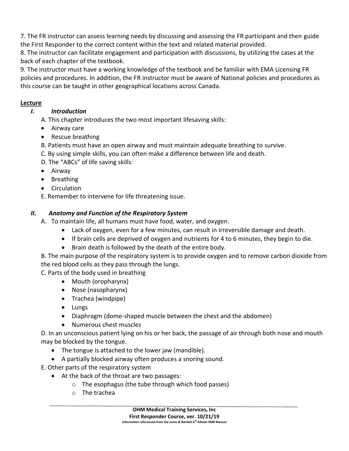7. The FR instructor can assess learning needs by discussing and assessing the FR participant and then guide the First Responder to the correct content within the text and related material provided.

8. The instructor can facilitate engagement and participation with discussions, by utilizing the cases at the back of each chapter of the textbook.

9. The instructor must have a working knowledge of the textbook and be familiar with EMA Licensing FR policies and procedures. In addition, the FR instructor must be aware of National policies and procedures as this course can be taught in other geographical locations across Canada.

## **Lecture**

## *I. Introduction*

A. This chapter introduces the two most important lifesaving skills:

- Airway care
- Rescue breathing
- B. Patients must have an open airway and must maintain adequate breathing to survive.
- C. By using simple skills, you can often make a difference between life and death.
- D. The "ABCs" of life saving skills:
- Airway
- Breathing
- Circulation
- E. Remember to intervene for life threatening issue.

## *II. Anatomy and Function of the Respiratory System*

A. To maintain life, all humans must have food, water, and oxygen.

- Lack of oxygen, even for a few minutes, can result in irreversible damage and death.
- If brain cells are deprived of oxygen and nutrients for 4 to 6 minutes, they begin to die.
- Brain death is followed by the death of the entire body.

B. The main purpose of the respiratory system is to provide oxygen and to remove carbon dioxide from the red blood cells as they pass through the lungs.

C. Parts of the body used in breathing

- Mouth (oropharynx)
- Nose (nasopharynx)
- Trachea (windpipe)
- Lungs
- Diaphragm (dome-shaped muscle between the chest and the abdomen)
- Numerous chest muscles

D. In an unconscious patient lying on his or her back, the passage of air through both nose and mouth may be blocked by the tongue.

- The tongue is attached to the lower jaw (mandible).
- A partially blocked airway often produces a snoring sound.

E. Other parts of the respiratory system

- At the back of the throat are two passages:
	- o The esophagus (the tube through which food passes)
	- o The trachea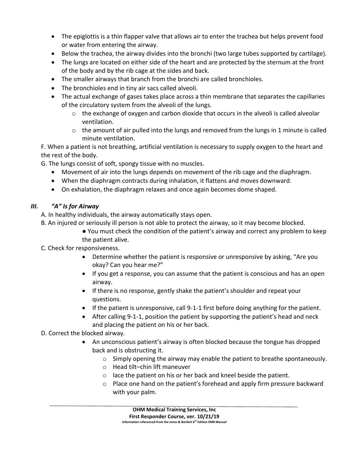- The epiglottis is a thin flapper valve that allows air to enter the trachea but helps prevent food or water from entering the airway.
- Below the trachea, the airway divides into the bronchi (two large tubes supported by cartilage).
- The lungs are located on either side of the heart and are protected by the sternum at the front of the body and by the rib cage at the sides and back.
- The smaller airways that branch from the bronchi are called bronchioles.
- The bronchioles end in tiny air sacs called alveoli.
- The actual exchange of gases takes place across a thin membrane that separates the capillaries of the circulatory system from the alveoli of the lungs.
	- $\circ$  the exchange of oxygen and carbon dioxide that occurs in the alveoli is called alveolar ventilation.
	- $\circ$  the amount of air pulled into the lungs and removed from the lungs in 1 minute is called minute ventilation.

F. When a patient is not breathing, artificial ventilation is necessary to supply oxygen to the heart and the rest of the body.

G. The lungs consist of soft, spongy tissue with no muscles.

- Movement of air into the lungs depends on movement of the rib cage and the diaphragm.
- When the diaphragm contracts during inhalation, it flattens and moves downward.
- On exhalation, the diaphragm relaxes and once again becomes dome shaped.

## *III. "A" Is for Airway*

A. In healthy individuals, the airway automatically stays open.

- B. An injured or seriously ill person is not able to protect the airway, so it may become blocked.
	- You must check the condition of the patient's airway and correct any problem to keep the patient alive.
- C. Check for responsiveness.
	- Determine whether the patient is responsive or unresponsive by asking, "Are you okay? Can you hear me?"
	- If you get a response, you can assume that the patient is conscious and has an open airway.
	- If there is no response, gently shake the patient's shoulder and repeat your questions.
	- If the patient is unresponsive, call 9-1-1 first before doing anything for the patient.
	- After calling 9-1-1, position the patient by supporting the patient's head and neck and placing the patient on his or her back.

## D. Correct the blocked airway.

- An unconscious patient's airway is often blocked because the tongue has dropped back and is obstructing it.
	- $\circ$  Simply opening the airway may enable the patient to breathe spontaneously.
	- o Head tilt–chin lift maneuver
	- o lace the patient on his or her back and kneel beside the patient.
	- o Place one hand on the patient's forehead and apply firm pressure backward with your palm.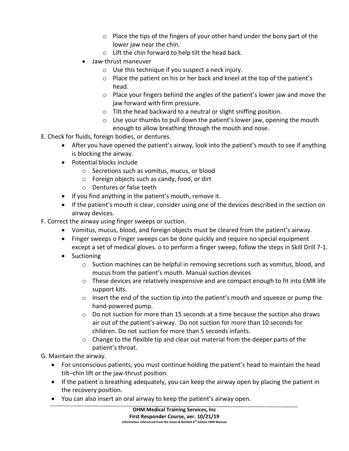- $\circ$  Place the tips of the fingers of your other hand under the bony part of the lower jaw near the chin.
- o Lift the chin forward to help tilt the head back.
- Jaw-thrust maneuver
	- o Use this technique if you suspect a neck injury.
	- o Place the patient on his or her back and kneel at the top of the patient's head.
	- $\circ$  Place your fingers behind the angles of the patient's lower jaw and move the jaw forward with firm pressure.
	- o Tilt the head backward to a neutral or slight sniffing position.
	- $\circ$  Use your thumbs to pull down the patient's lower jaw, opening the mouth enough to allow breathing through the mouth and nose.
- E. Check for fluids, foreign bodies, or dentures.
	- After you have opened the patient's airway, look into the patient's mouth to see if anything is blocking the airway.
	- Potential blocks include
		- o Secretions such as vomitus, mucus, or blood
		- o Foreign objects such as candy, food, or dirt
		- o Dentures or false teeth
	- If you find anything in the patient's mouth, remove it.
	- If the patient's mouth is clear, consider using one of the devices described in the section on airway devices.
- F. Correct the airway using finger sweeps or suction.
	- Vomitus, mucus, blood, and foreign objects must be cleared from the patient's airway.
	- Finger sweeps o Finger sweeps can be done quickly and require no special equipment except a set of medical gloves. o to perform a finger sweep, follow the steps in Skill Drill 7-1.
	- Suctioning
		- $\circ$  Suction machines can be helpful in removing secretions such as vomitus, blood, and mucus from the patient's mouth. Manual suction devices
		- $\circ$  These devices are relatively inexpensive and are compact enough to fit into EMR life support kits.
		- o Insert the end of the suction tip into the patient's mouth and squeeze or pump the hand-powered pump.
		- o Do not suction for more than 15 seconds at a time because the suction also draws air out of the patient's airway. Do not suction for more than 10 seconds for children. Do not suction for more than 5 seconds infants.
		- $\circ$  Change to the flexible tip and clear out material from the deeper parts of the patient's throat.

G. Maintain the airway.

- For unconscious patients, you must continue holding the patient's head to maintain the head tilt–chin lift or the jaw-thrust position.
- If the patient is breathing adequately, you can keep the airway open by placing the patient in the recovery position.
- You can also insert an oral airway to keep the patient's airway open.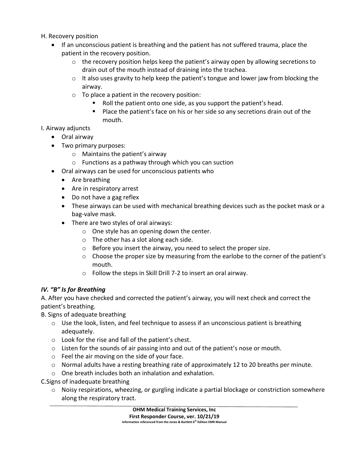- H. Recovery position
	- If an unconscious patient is breathing and the patient has not suffered trauma, place the patient in the recovery position.
		- $\circ$  the recovery position helps keep the patient's airway open by allowing secretions to drain out of the mouth instead of draining into the trachea.
		- o It also uses gravity to help keep the patient's tongue and lower jaw from blocking the airway.
		- $\circ$  To place a patient in the recovery position:
			- Roll the patient onto one side, as you support the patient's head.
			- Place the patient's face on his or her side so any secretions drain out of the mouth.

## I. Airway adjuncts

- Oral airway
- Two primary purposes:
	- o Maintains the patient's airway
	- o Functions as a pathway through which you can suction
- Oral airways can be used for unconscious patients who
	- Are breathing
	- Are in respiratory arrest
	- Do not have a gag reflex
	- These airways can be used with mechanical breathing devices such as the pocket mask or a bag-valve mask.
	- There are two styles of oral airways:
		- o One style has an opening down the center.
		- o The other has a slot along each side.
		- o Before you insert the airway, you need to select the proper size.
		- $\circ$  Choose the proper size by measuring from the earlobe to the corner of the patient's mouth.
		- o Follow the steps in Skill Drill 7-2 to insert an oral airway.

## *IV. "B" Is for Breathing*

A. After you have checked and corrected the patient's airway, you will next check and correct the patient's breathing.

B. Signs of adequate breathing

- $\circ$  Use the look, listen, and feel technique to assess if an unconscious patient is breathing adequately.
- o Look for the rise and fall of the patient's chest.
- $\circ$  Listen for the sounds of air passing into and out of the patient's nose or mouth.
- o Feel the air moving on the side of your face.
- $\circ$  Normal adults have a resting breathing rate of approximately 12 to 20 breaths per minute.
- o One breath includes both an inhalation and exhalation.

C.Signs of inadequate breathing

 $\circ$  Noisy respirations, wheezing, or gurgling indicate a partial blockage or constriction somewhere along the respiratory tract.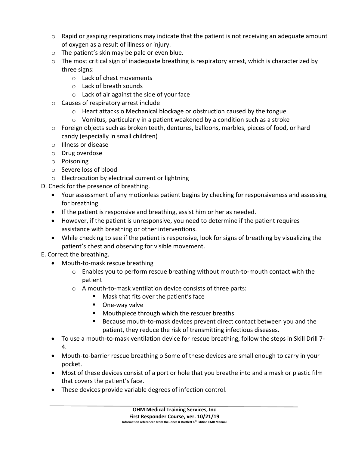- $\circ$  Rapid or gasping respirations may indicate that the patient is not receiving an adequate amount of oxygen as a result of illness or injury.
- o The patient's skin may be pale or even blue.
- o The most critical sign of inadequate breathing is respiratory arrest, which is characterized by three signs:
	- o Lack of chest movements
	- o Lack of breath sounds
	- o Lack of air against the side of your face
- o Causes of respiratory arrest include
	- $\circ$  Heart attacks o Mechanical blockage or obstruction caused by the tongue
	- $\circ$  Vomitus, particularly in a patient weakened by a condition such as a stroke
- o Foreign objects such as broken teeth, dentures, balloons, marbles, pieces of food, or hard candy (especially in small children)
- o Illness or disease
- o Drug overdose
- o Poisoning
- o Severe loss of blood
- o Electrocution by electrical current or lightning
- D. Check for the presence of breathing.
	- Your assessment of any motionless patient begins by checking for responsiveness and assessing for breathing.
	- If the patient is responsive and breathing, assist him or her as needed.
	- However, if the patient is unresponsive, you need to determine if the patient requires assistance with breathing or other interventions.
	- While checking to see if the patient is responsive, look for signs of breathing by visualizing the patient's chest and observing for visible movement.
- E. Correct the breathing.
	- Mouth-to-mask rescue breathing
		- $\circ$  Enables you to perform rescue breathing without mouth-to-mouth contact with the patient
		- o A mouth-to-mask ventilation device consists of three parts:
			- Mask that fits over the patient's face
			- One-way valve
			- Mouthpiece through which the rescuer breaths
			- Because mouth-to-mask devices prevent direct contact between you and the patient, they reduce the risk of transmitting infectious diseases.
	- To use a mouth-to-mask ventilation device for rescue breathing, follow the steps in Skill Drill 7- 4.
	- Mouth-to-barrier rescue breathing o Some of these devices are small enough to carry in your pocket.
	- Most of these devices consist of a port or hole that you breathe into and a mask or plastic film that covers the patient's face.
	- These devices provide variable degrees of infection control.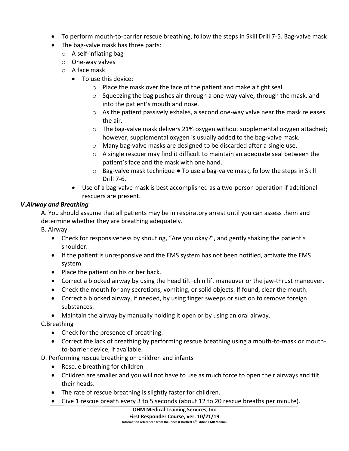- To perform mouth-to-barrier rescue breathing, follow the steps in Skill Drill 7-5. Bag-valve mask
- The bag-valve mask has three parts:
	- o A self-inflating bag
	- o One-way valves
	- o A face mask
		- To use this device:
			- o Place the mask over the face of the patient and make a tight seal.
			- $\circ$  Squeezing the bag pushes air through a one-way valve, through the mask, and into the patient's mouth and nose.
			- o As the patient passively exhales, a second one-way valve near the mask releases the air.
			- $\circ$  The bag-valve mask delivers 21% oxygen without supplemental oxygen attached; however, supplemental oxygen is usually added to the bag-valve mask.
			- o Many bag-valve masks are designed to be discarded after a single use.
			- $\circ$  A single rescuer may find it difficult to maintain an adequate seal between the patient's face and the mask with one hand.
			- $\circ$  Bag-valve mask technique  $\bullet$  To use a bag-valve mask, follow the steps in Skill Drill 7-6.
		- Use of a bag-valve mask is best accomplished as a two-person operation if additional rescuers are present.

## *V.Airway and Breathing*

A. You should assume that all patients may be in respiratory arrest until you can assess them and determine whether they are breathing adequately.

B. Airway

- Check for responsiveness by shouting, "Are you okay?", and gently shaking the patient's shoulder.
- If the patient is unresponsive and the EMS system has not been notified, activate the EMS system.
- Place the patient on his or her back.
- Correct a blocked airway by using the head tilt–chin lift maneuver or the jaw-thrust maneuver.
- Check the mouth for any secretions, vomiting, or solid objects. If found, clear the mouth.
- Correct a blocked airway, if needed, by using finger sweeps or suction to remove foreign substances.
- Maintain the airway by manually holding it open or by using an oral airway.

C.Breathing

- Check for the presence of breathing.
- Correct the lack of breathing by performing rescue breathing using a mouth-to-mask or mouthto-barrier device, if available.
- D. Performing rescue breathing on children and infants
	- Rescue breathing for children
	- Children are smaller and you will not have to use as much force to open their airways and tilt their heads.
	- The rate of rescue breathing is slightly faster for children.
	- Give 1 rescue breath every 3 to 5 seconds (about 12 to 20 rescue breaths per minute).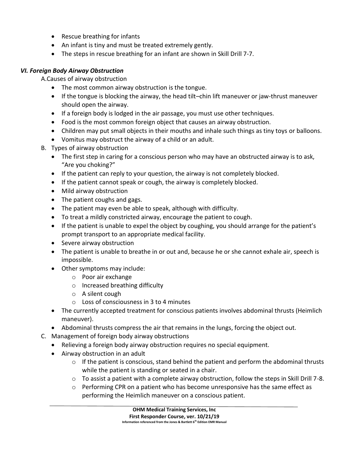- Rescue breathing for infants
- An infant is tiny and must be treated extremely gently.
- The steps in rescue breathing for an infant are shown in Skill Drill 7-7.

## *VI. Foreign Body Airway Obstruction*

A.Causes of airway obstruction

- The most common airway obstruction is the tongue.
- If the tongue is blocking the airway, the head tilt–chin lift maneuver or jaw-thrust maneuver should open the airway.
- If a foreign body is lodged in the air passage, you must use other techniques.
- Food is the most common foreign object that causes an airway obstruction.
- Children may put small objects in their mouths and inhale such things as tiny toys or balloons.
- Vomitus may obstruct the airway of a child or an adult.
- B. Types of airway obstruction
	- The first step in caring for a conscious person who may have an obstructed airway is to ask, "Are you choking?"
	- If the patient can reply to your question, the airway is not completely blocked.
	- If the patient cannot speak or cough, the airway is completely blocked.
	- Mild airway obstruction
	- The patient coughs and gags.
	- The patient may even be able to speak, although with difficulty.
	- To treat a mildly constricted airway, encourage the patient to cough.
	- If the patient is unable to expel the object by coughing, you should arrange for the patient's prompt transport to an appropriate medical facility.
	- Severe airway obstruction
	- The patient is unable to breathe in or out and, because he or she cannot exhale air, speech is impossible.
	- Other symptoms may include:
		- o Poor air exchange
		- o Increased breathing difficulty
		- o A silent cough
		- o Loss of consciousness in 3 to 4 minutes
	- The currently accepted treatment for conscious patients involves abdominal thrusts (Heimlich maneuver).
	- Abdominal thrusts compress the air that remains in the lungs, forcing the object out.
- C. Management of foreign body airway obstructions
	- Relieving a foreign body airway obstruction requires no special equipment.
	- Airway obstruction in an adult
		- $\circ$  If the patient is conscious, stand behind the patient and perform the abdominal thrusts while the patient is standing or seated in a chair.
		- o To assist a patient with a complete airway obstruction, follow the steps in Skill Drill 7-8.
		- $\circ$  Performing CPR on a patient who has become unresponsive has the same effect as performing the Heimlich maneuver on a conscious patient.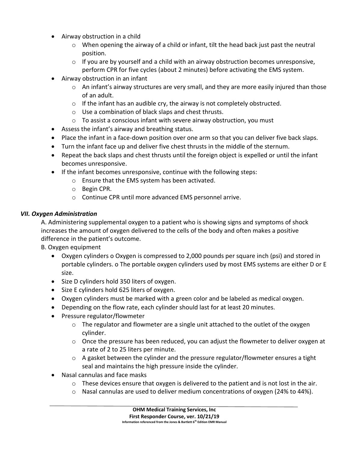- Airway obstruction in a child
	- $\circ$  When opening the airway of a child or infant, tilt the head back just past the neutral position.
	- $\circ$  If you are by yourself and a child with an airway obstruction becomes unresponsive, perform CPR for five cycles (about 2 minutes) before activating the EMS system.
- Airway obstruction in an infant
	- o An infant's airway structures are very small, and they are more easily injured than those of an adult.
	- $\circ$  If the infant has an audible cry, the airway is not completely obstructed.
	- o Use a combination of black slaps and chest thrusts.
	- o To assist a conscious infant with severe airway obstruction, you must
- Assess the infant's airway and breathing status.
- Place the infant in a face-down position over one arm so that you can deliver five back slaps.
- Turn the infant face up and deliver five chest thrusts in the middle of the sternum.
- Repeat the back slaps and chest thrusts until the foreign object is expelled or until the infant becomes unresponsive.
- If the infant becomes unresponsive, continue with the following steps:
	- o Ensure that the EMS system has been activated.
	- o Begin CPR.
	- o Continue CPR until more advanced EMS personnel arrive.

## *VII. Oxygen Administration*

A. Administering supplemental oxygen to a patient who is showing signs and symptoms of shock increases the amount of oxygen delivered to the cells of the body and often makes a positive difference in the patient's outcome.

B. Oxygen equipment

- Oxygen cylinders o Oxygen is compressed to 2,000 pounds per square inch (psi) and stored in portable cylinders. o The portable oxygen cylinders used by most EMS systems are either D or E size.
- Size D cylinders hold 350 liters of oxygen.
- Size E cylinders hold 625 liters of oxygen.
- Oxygen cylinders must be marked with a green color and be labeled as medical oxygen.
- Depending on the flow rate, each cylinder should last for at least 20 minutes.
- Pressure regulator/flowmeter
	- $\circ$  The regulator and flowmeter are a single unit attached to the outlet of the oxygen cylinder.
	- $\circ$  Once the pressure has been reduced, you can adjust the flowmeter to deliver oxygen at a rate of 2 to 25 liters per minute.
	- o A gasket between the cylinder and the pressure regulator/flowmeter ensures a tight seal and maintains the high pressure inside the cylinder.
- Nasal cannulas and face masks
	- $\circ$  These devices ensure that oxygen is delivered to the patient and is not lost in the air.
	- o Nasal cannulas are used to deliver medium concentrations of oxygen (24% to 44%).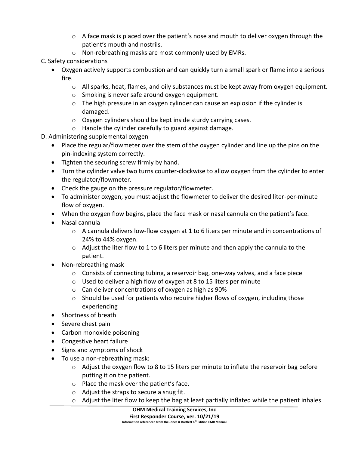- $\circ$  A face mask is placed over the patient's nose and mouth to deliver oxygen through the patient's mouth and nostrils.
- o Non-rebreathing masks are most commonly used by EMRs.
- C. Safety considerations
	- Oxygen actively supports combustion and can quickly turn a small spark or flame into a serious fire.
		- $\circ$  All sparks, heat, flames, and oily substances must be kept away from oxygen equipment.
		- o Smoking is never safe around oxygen equipment.
		- o The high pressure in an oxygen cylinder can cause an explosion if the cylinder is damaged.
		- o Oxygen cylinders should be kept inside sturdy carrying cases.
		- o Handle the cylinder carefully to guard against damage.
- D. Administering supplemental oxygen
	- Place the regular/flowmeter over the stem of the oxygen cylinder and line up the pins on the pin-indexing system correctly.
	- Tighten the securing screw firmly by hand.
	- Turn the cylinder valve two turns counter-clockwise to allow oxygen from the cylinder to enter the regulator/flowmeter.
	- Check the gauge on the pressure regulator/flowmeter.
	- To administer oxygen, you must adjust the flowmeter to deliver the desired liter-per-minute flow of oxygen.
	- When the oxygen flow begins, place the face mask or nasal cannula on the patient's face.
	- Nasal cannula
		- $\circ$  A cannula delivers low-flow oxygen at 1 to 6 liters per minute and in concentrations of 24% to 44% oxygen.
		- $\circ$  Adjust the liter flow to 1 to 6 liters per minute and then apply the cannula to the patient.
	- Non-rebreathing mask
		- $\circ$  Consists of connecting tubing, a reservoir bag, one-way valves, and a face piece
		- o Used to deliver a high flow of oxygen at 8 to 15 liters per minute
		- o Can deliver concentrations of oxygen as high as 90%
		- $\circ$  Should be used for patients who require higher flows of oxygen, including those experiencing
	- Shortness of breath
	- Severe chest pain
	- Carbon monoxide poisoning
	- Congestive heart failure
	- Signs and symptoms of shock
	- To use a non-rebreathing mask:
		- $\circ$  Adjust the oxygen flow to 8 to 15 liters per minute to inflate the reservoir bag before putting it on the patient.
		- o Place the mask over the patient's face.
		- o Adjust the straps to secure a snug fit.
		- o Adjust the liter flow to keep the bag at least partially inflated while the patient inhales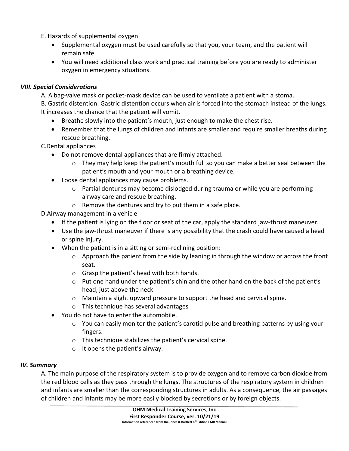E. Hazards of supplemental oxygen

- Supplemental oxygen must be used carefully so that you, your team, and the patient will remain safe.
- You will need additional class work and practical training before you are ready to administer oxygen in emergency situations.

## *VIII. Special Considerations*

A. A bag-valve mask or pocket-mask device can be used to ventilate a patient with a stoma.

B. Gastric distention. Gastric distention occurs when air is forced into the stomach instead of the lungs. It increases the chance that the patient will vomit.

- Breathe slowly into the patient's mouth, just enough to make the chest rise.
- Remember that the lungs of children and infants are smaller and require smaller breaths during rescue breathing.

C.Dental appliances

- Do not remove dental appliances that are firmly attached.
	- $\circ$  They may help keep the patient's mouth full so you can make a better seal between the patient's mouth and your mouth or a breathing device.
- Loose dental appliances may cause problems.
	- $\circ$  Partial dentures may become dislodged during trauma or while you are performing airway care and rescue breathing.
	- o Remove the dentures and try to put them in a safe place.

D.Airway management in a vehicle

- If the patient is lying on the floor or seat of the car, apply the standard jaw-thrust maneuver.
- Use the jaw-thrust maneuver if there is any possibility that the crash could have caused a head or spine injury.
- When the patient is in a sitting or semi-reclining position:
	- $\circ$  Approach the patient from the side by leaning in through the window or across the front seat.
	- o Grasp the patient's head with both hands.
	- o Put one hand under the patient's chin and the other hand on the back of the patient's head, just above the neck.
	- $\circ$  Maintain a slight upward pressure to support the head and cervical spine.
	- o This technique has several advantages
- You do not have to enter the automobile.
	- o You can easily monitor the patient's carotid pulse and breathing patterns by using your fingers.
	- o This technique stabilizes the patient's cervical spine.
	- $\circ$  It opens the patient's airway.

## *IV. Summary*

A. The main purpose of the respiratory system is to provide oxygen and to remove carbon dioxide from the red blood cells as they pass through the lungs. The structures of the respiratory system in children and infants are smaller than the corresponding structures in adults. As a consequence, the air passages of children and infants may be more easily blocked by secretions or by foreign objects.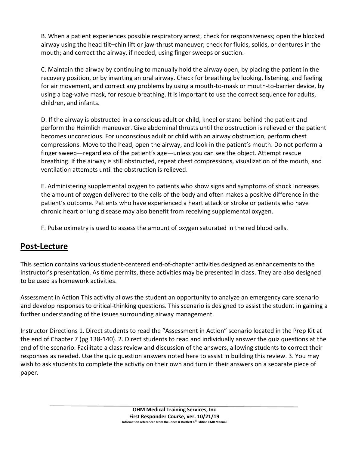B. When a patient experiences possible respiratory arrest, check for responsiveness; open the blocked airway using the head tilt–chin lift or jaw-thrust maneuver; check for fluids, solids, or dentures in the mouth; and correct the airway, if needed, using finger sweeps or suction.

C. Maintain the airway by continuing to manually hold the airway open, by placing the patient in the recovery position, or by inserting an oral airway. Check for breathing by looking, listening, and feeling for air movement, and correct any problems by using a mouth-to-mask or mouth-to-barrier device, by using a bag-valve mask, for rescue breathing. It is important to use the correct sequence for adults, children, and infants.

D. If the airway is obstructed in a conscious adult or child, kneel or stand behind the patient and perform the Heimlich maneuver. Give abdominal thrusts until the obstruction is relieved or the patient becomes unconscious. For unconscious adult or child with an airway obstruction, perform chest compressions. Move to the head, open the airway, and look in the patient's mouth. Do not perform a finger sweep—regardless of the patient's age—unless you can see the object. Attempt rescue breathing. If the airway is still obstructed, repeat chest compressions, visualization of the mouth, and ventilation attempts until the obstruction is relieved.

E. Administering supplemental oxygen to patients who show signs and symptoms of shock increases the amount of oxygen delivered to the cells of the body and often makes a positive difference in the patient's outcome. Patients who have experienced a heart attack or stroke or patients who have chronic heart or lung disease may also benefit from receiving supplemental oxygen.

F. Pulse oximetry is used to assess the amount of oxygen saturated in the red blood cells.

## **Post-Lecture**

This section contains various student-centered end-of-chapter activities designed as enhancements to the instructor's presentation. As time permits, these activities may be presented in class. They are also designed to be used as homework activities.

Assessment in Action This activity allows the student an opportunity to analyze an emergency care scenario and develop responses to critical-thinking questions. This scenario is designed to assist the student in gaining a further understanding of the issues surrounding airway management.

Instructor Directions 1. Direct students to read the "Assessment in Action" scenario located in the Prep Kit at the end of Chapter 7 (pg 138-140). 2. Direct students to read and individually answer the quiz questions at the end of the scenario. Facilitate a class review and discussion of the answers, allowing students to correct their responses as needed. Use the quiz question answers noted here to assist in building this review. 3. You may wish to ask students to complete the activity on their own and turn in their answers on a separate piece of paper.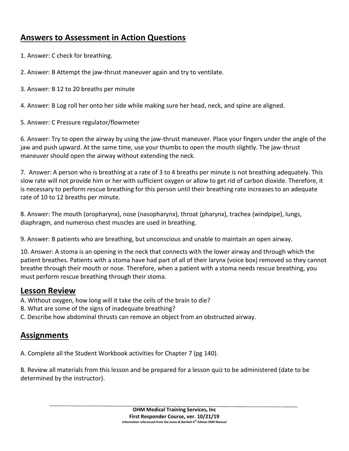## **Answers to Assessment in Action Questions**

1. Answer: C check for breathing.

2. Answer: B Attempt the jaw-thrust maneuver again and try to ventilate.

3. Answer: B 12 to 20 breaths per minute

4. Answer: B Log roll her onto her side while making sure her head, neck, and spine are aligned.

5. Answer: C Pressure regulator/flowmeter

6. Answer: Try to open the airway by using the jaw-thrust maneuver. Place your fingers under the angle of the jaw and push upward. At the same time, use your thumbs to open the mouth slightly. The jaw-thrust maneuver should open the airway without extending the neck.

7. Answer: A person who is breathing at a rate of 3 to 4 breaths per minute is not breathing adequately. This slow rate will not provide him or her with sufficient oxygen or allow to get rid of carbon dioxide. Therefore, it is necessary to perform rescue breathing for this person until their breathing rate increases to an adequate rate of 10 to 12 breaths per minute.

8. Answer: The mouth (oropharynx), nose (nasopharynx), throat (pharynx), trachea (windpipe), lungs, diaphragm, and numerous chest muscles are used in breathing.

9. Answer: B patients who are breathing, but unconscious and unable to maintain an open airway.

10. Answer: A stoma is an opening in the neck that connects with the lower airway and through which the patient breathes. Patients with a stoma have had part of all of their larynx (voice box) removed so they cannot breathe through their mouth or nose. Therefore, when a patient with a stoma needs rescue breathing, you must perform rescue breathing through their stoma.

## **Lesson Review**

- A. Without oxygen, how long will it take the cells of the brain to die?
- B. What are some of the signs of inadequate breathing?
- C. Describe how abdominal thrusts can remove an object from an obstructed airway.

## **Assignments**

A. Complete all the Student Workbook activities for Chapter 7 (pg 140).

B. Review all materials from this lesson and be prepared for a lesson quiz to be administered (date to be determined by the instructor).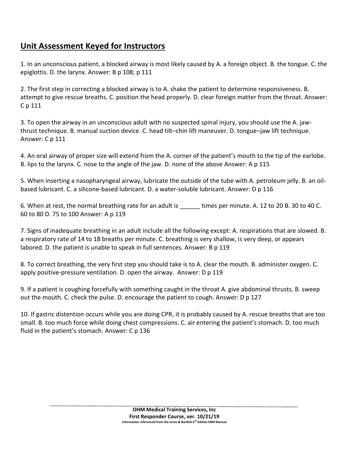## **Unit Assessment Keyed for Instructors**

1. In an unconscious patient, a blocked airway is most likely caused by A. a foreign object. B. the tongue. C. the epiglottis. D. the larynx. Answer: B p 108; p 111

2. The first step in correcting a blocked airway is to A. shake the patient to determine responsiveness. B. attempt to give rescue breaths. C. position the head properly. D. clear foreign matter from the throat. Answer: C p 111

3. To open the airway in an unconscious adult with no suspected spinal injury, you should use the A. jawthrust technique. B. manual suction device. C. head tilt–chin lift maneuver. D. tongue–jaw lift technique. Answer: C p 111

4. An oral airway of proper size will extend from the A. corner of the patient's mouth to the tip of the earlobe. B. lips to the larynx. C. nose to the angle of the jaw. D. none of the above Answer: A p 115

5. When inserting a nasopharyngeal airway, lubricate the outside of the tube with A. petroleum jelly. B. an oilbased lubricant. C. a silicone-based lubricant. D. a water-soluble lubricant. Answer: D p 116

6. When at rest, the normal breathing rate for an adult is \_\_\_\_\_\_ times per minute. A. 12 to 20 B. 30 to 40 C. 60 to 80 D. 75 to 100 Answer: A p 119

7. Signs of inadequate breathing in an adult include all the following except: A. respirations that are slowed. B. a respiratory rate of 14 to 18 breaths per minute. C. breathing is very shallow, is very deep, or appears labored. D. the patient is unable to speak in full sentences. Answer: B p 119

8. To correct breathing, the very first step you should take is to A. clear the mouth. B. administer oxygen. C. apply positive-pressure ventilation. D. open the airway. Answer: D p 119

9. If a patient is coughing forcefully with something caught in the throat A. give abdominal thrusts. B. sweep out the mouth. C. check the pulse. D. encourage the patient to cough. Answer: D p 127

10. If gastric distention occurs while you are doing CPR, it is probably caused by A. rescue breaths that are too small. B. too much force while doing chest compressions. C. air entering the patient's stomach. D. too much fluid in the patient's stomach. Answer: C p 136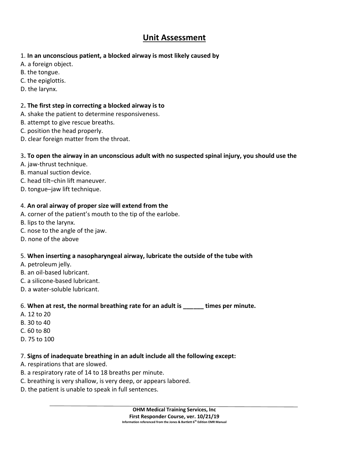## **Unit Assessment**

- 1. **In an unconscious patient, a blocked airway is most likely caused by**
- A. a foreign object.
- B. the tongue.
- C. the epiglottis.
- D. the larynx.

## 2**. The first step in correcting a blocked airway is to**

- A. shake the patient to determine responsiveness.
- B. attempt to give rescue breaths.
- C. position the head properly.
- D. clear foreign matter from the throat.

## 3**. To open the airway in an unconscious adult with no suspected spinal injury, you should use the**

- A. jaw-thrust technique.
- B. manual suction device.
- C. head tilt–chin lift maneuver.
- D. tongue–jaw lift technique.

## 4. **An oral airway of proper size will extend from the**

- A. corner of the patient's mouth to the tip of the earlobe.
- B. lips to the larynx.
- C. nose to the angle of the jaw.
- D. none of the above

## 5. **When inserting a nasopharyngeal airway, lubricate the outside of the tube with**

- A. petroleum jelly.
- B. an oil-based lubricant.
- C. a silicone-based lubricant.
- D. a water-soluble lubricant.

## 6. **When at rest, the normal breathing rate for an adult is \_\_\_\_\_\_ times per minute.**

- A. 12 to 20
- B. 30 to 40
- C. 60 to 80
- D. 75 to 100

## 7. **Signs of inadequate breathing in an adult include all the following except:**

- A. respirations that are slowed.
- B. a respiratory rate of 14 to 18 breaths per minute.
- C. breathing is very shallow, is very deep, or appears labored.
- D. the patient is unable to speak in full sentences.